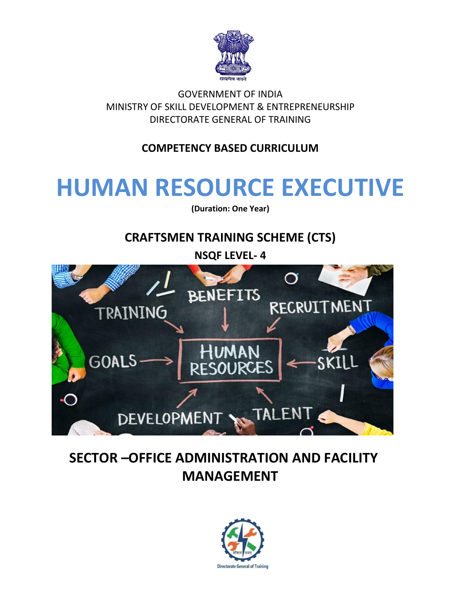

GOVERNMENT OF INDIA MINISTRY OF SKILL DEVELOPMENT & ENTREPRENEURSHIP DIRECTORATE GENERAL OF TRAINING

### **COMPETENCY BASED CURRICULUM**

# **HUMAN RESOURCE EXECUTIVE**

**(Duration: One Year)**

# **CRAFTSMEN TRAINING SCHEME (CTS)**

**NSQF LEVEL- 4**



# **SECTOR –OFFICE ADMINISTRATION AND FACILITY MANAGEMENT**

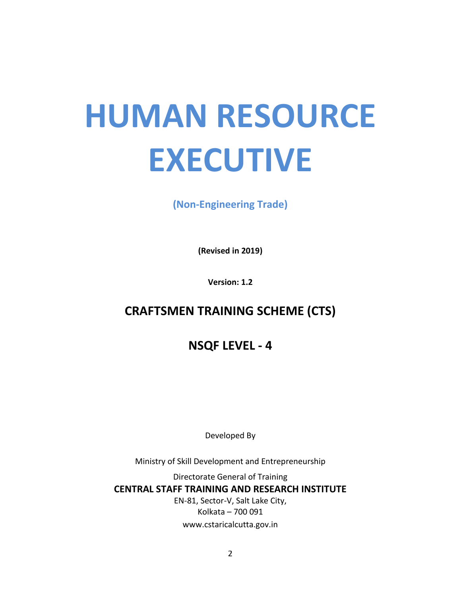# **HUMAN RESOURCE EXECUTIVE**

**(Non-Engineering Trade)**

**(Revised in 2019)**

**Version: 1.2**

# **CRAFTSMEN TRAINING SCHEME (CTS)**

**NSQF LEVEL - 4**

Developed By

Ministry of Skill Development and Entrepreneurship

Directorate General of Training **CENTRAL STAFF TRAINING AND RESEARCH INSTITUTE** EN-81, Sector-V, Salt Lake City, Kolkata – 700 091 www.cstaricalcutta.gov.in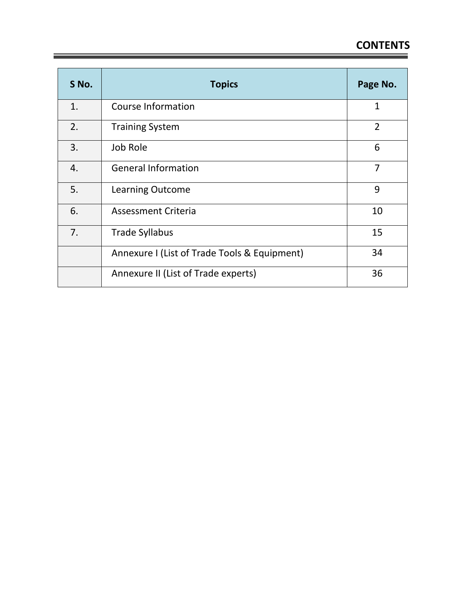| S No. | <b>Topics</b>                                | Page No.       |
|-------|----------------------------------------------|----------------|
| 1.    | <b>Course Information</b>                    | 1              |
| 2.    | <b>Training System</b>                       | $\overline{2}$ |
| 3.    | Job Role                                     | 6              |
| 4.    | <b>General Information</b>                   | $\overline{7}$ |
| 5.    | <b>Learning Outcome</b>                      | 9              |
| 6.    | <b>Assessment Criteria</b>                   | 10             |
| 7.    | <b>Trade Syllabus</b>                        | 15             |
|       | Annexure I (List of Trade Tools & Equipment) | 34             |
|       | Annexure II (List of Trade experts)          | 36             |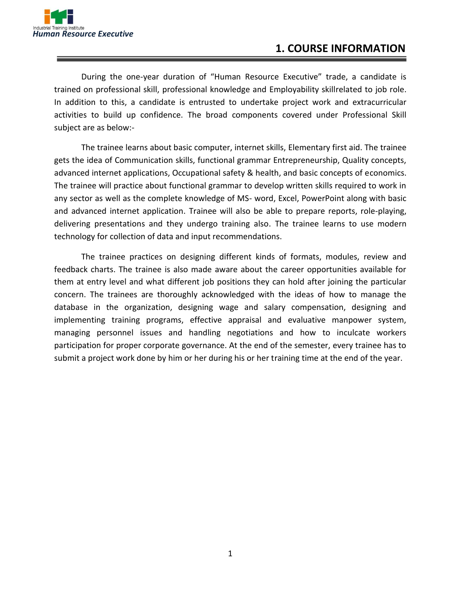

#### **1. COURSE INFORMATION**

During the one-year duration of "Human Resource Executive" trade, a candidate is trained on professional skill, professional knowledge and Employability skillrelated to job role. In addition to this, a candidate is entrusted to undertake project work and extracurricular activities to build up confidence. The broad components covered under Professional Skill subject are as below:-

The trainee learns about basic computer, internet skills, Elementary first aid. The trainee gets the idea of Communication skills, functional grammar Entrepreneurship, Quality concepts, advanced internet applications, Occupational safety & health, and basic concepts of economics. The trainee will practice about functional grammar to develop written skills required to work in any sector as well as the complete knowledge of MS- word, Excel, PowerPoint along with basic and advanced internet application. Trainee will also be able to prepare reports, role-playing, delivering presentations and they undergo training also. The trainee learns to use modern technology for collection of data and input recommendations.

The trainee practices on designing different kinds of formats, modules, review and feedback charts. The trainee is also made aware about the career opportunities available for them at entry level and what different job positions they can hold after joining the particular concern. The trainees are thoroughly acknowledged with the ideas of how to manage the database in the organization, designing wage and salary compensation, designing and implementing training programs, effective appraisal and evaluative manpower system, managing personnel issues and handling negotiations and how to inculcate workers participation for proper corporate governance. At the end of the semester, every trainee has to submit a project work done by him or her during his or her training time at the end of the year.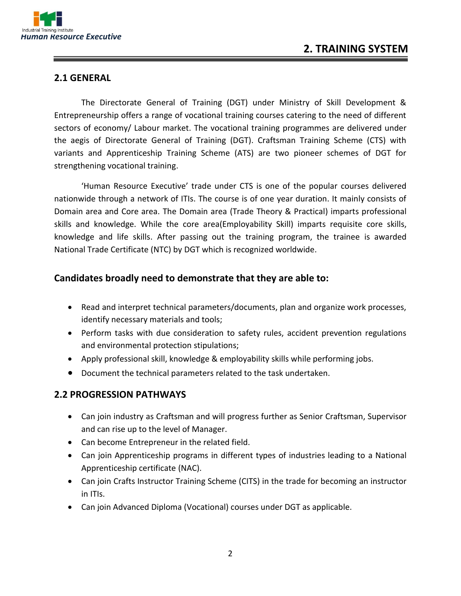

#### **2.1 GENERAL**

The Directorate General of Training (DGT) under Ministry of Skill Development & Entrepreneurship offers a range of vocational training courses catering to the need of different sectors of economy/ Labour market. The vocational training programmes are delivered under the aegis of Directorate General of Training (DGT). Craftsman Training Scheme (CTS) with variants and Apprenticeship Training Scheme (ATS) are two pioneer schemes of DGT for strengthening vocational training.

'Human Resource Executive' trade under CTS is one of the popular courses delivered nationwide through a network of ITIs. The course is of one year duration. It mainly consists of Domain area and Core area. The Domain area (Trade Theory & Practical) imparts professional skills and knowledge. While the core area(Employability Skill) imparts requisite core skills, knowledge and life skills. After passing out the training program, the trainee is awarded National Trade Certificate (NTC) by DGT which is recognized worldwide.

#### **Candidates broadly need to demonstrate that they are able to:**

- Read and interpret technical parameters/documents, plan and organize work processes, identify necessary materials and tools;
- Perform tasks with due consideration to safety rules, accident prevention regulations and environmental protection stipulations;
- Apply professional skill, knowledge & employability skills while performing jobs.
- Document the technical parameters related to the task undertaken.

#### **2.2 PROGRESSION PATHWAYS**

- Can join industry as Craftsman and will progress further as Senior Craftsman, Supervisor and can rise up to the level of Manager.
- Can become Entrepreneur in the related field.
- Can join Apprenticeship programs in different types of industries leading to a National Apprenticeship certificate (NAC).
- Can join Crafts Instructor Training Scheme (CITS) in the trade for becoming an instructor in ITIs.
- Can join Advanced Diploma (Vocational) courses under DGT as applicable.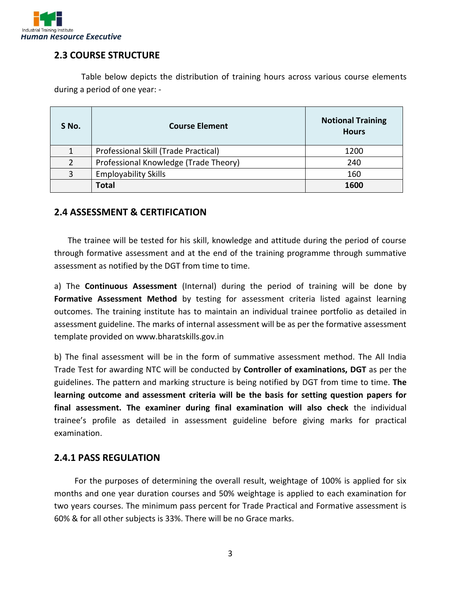

#### **2.3 COURSE STRUCTURE**

Table below depicts the distribution of training hours across various course elements during a period of one year: -

| S No.         | <b>Course Element</b>                 | <b>Notional Training</b><br><b>Hours</b> |
|---------------|---------------------------------------|------------------------------------------|
|               | Professional Skill (Trade Practical)  | 1200                                     |
| $\mathcal{P}$ | Professional Knowledge (Trade Theory) | 240                                      |
| 3             | <b>Employability Skills</b>           | 160                                      |
|               | <b>Total</b>                          | 1600                                     |

#### **2.4 ASSESSMENT & CERTIFICATION**

The trainee will be tested for his skill, knowledge and attitude during the period of course through formative assessment and at the end of the training programme through summative assessment as notified by the DGT from time to time.

a) The **Continuous Assessment** (Internal) during the period of training will be done by **Formative Assessment Method** by testing for assessment criteria listed against learning outcomes. The training institute has to maintain an individual trainee portfolio as detailed in assessment guideline. The marks of internal assessment will be as per the formative assessment template provided on www.bharatskills.gov.in

b) The final assessment will be in the form of summative assessment method. The All India Trade Test for awarding NTC will be conducted by **Controller of examinations, DGT** as per the guidelines. The pattern and marking structure is being notified by DGT from time to time. **The learning outcome and assessment criteria will be the basis for setting question papers for final assessment. The examiner during final examination will also check** the individual trainee's profile as detailed in assessment guideline before giving marks for practical examination.

#### **2.4.1 PASS REGULATION**

For the purposes of determining the overall result, weightage of 100% is applied for six months and one year duration courses and 50% weightage is applied to each examination for two years courses. The minimum pass percent for Trade Practical and Formative assessment is 60% & for all other subjects is 33%. There will be no Grace marks.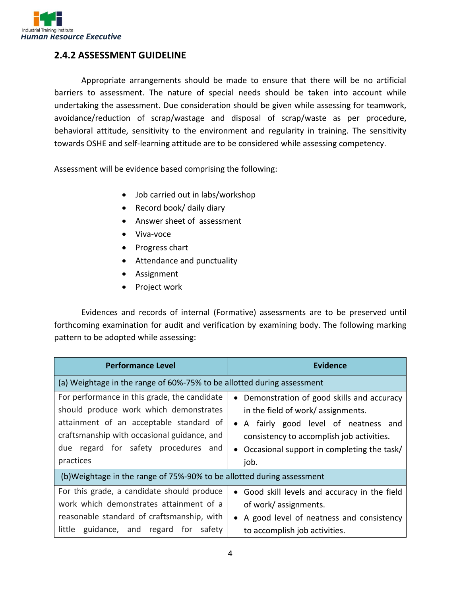

#### **2.4.2 ASSESSMENT GUIDELINE**

Appropriate arrangements should be made to ensure that there will be no artificial barriers to assessment. The nature of special needs should be taken into account while undertaking the assessment. Due consideration should be given while assessing for teamwork, avoidance/reduction of scrap/wastage and disposal of scrap/waste as per procedure, behavioral attitude, sensitivity to the environment and regularity in training. The sensitivity towards OSHE and self-learning attitude are to be considered while assessing competency.

Assessment will be evidence based comprising the following:

- Job carried out in labs/workshop
- Record book/ daily diary
- Answer sheet of assessment
- Viva-voce
- Progress chart
- Attendance and punctuality
- Assignment
- Project work

Evidences and records of internal (Formative) assessments are to be preserved until forthcoming examination for audit and verification by examining body. The following marking pattern to be adopted while assessing:

| <b>Performance Level</b>                                                                                                                                                                                                              | <b>Evidence</b>                                                                                                                                                                                                                 |  |
|---------------------------------------------------------------------------------------------------------------------------------------------------------------------------------------------------------------------------------------|---------------------------------------------------------------------------------------------------------------------------------------------------------------------------------------------------------------------------------|--|
| (a) Weightage in the range of 60%-75% to be allotted during assessment                                                                                                                                                                |                                                                                                                                                                                                                                 |  |
| For performance in this grade, the candidate<br>should produce work which demonstrates<br>attainment of an acceptable standard of<br>craftsmanship with occasional guidance, and<br>due regard for safety procedures and<br>practices | • Demonstration of good skills and accuracy<br>in the field of work/ assignments.<br>• A fairly good level of neatness and<br>consistency to accomplish job activities.<br>• Occasional support in completing the task/<br>job. |  |
| (b) Weightage in the range of 75%-90% to be allotted during assessment                                                                                                                                                                |                                                                                                                                                                                                                                 |  |
| For this grade, a candidate should produce<br>work which demonstrates attainment of a<br>reasonable standard of craftsmanship, with<br>little guidance, and regard for safety                                                         | • Good skill levels and accuracy in the field<br>of work/assignments.<br>A good level of neatness and consistency<br>$\bullet$<br>to accomplish job activities.                                                                 |  |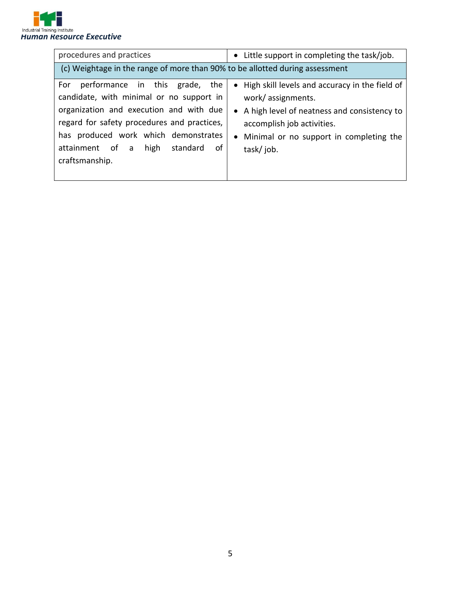

| procedures and practices                                                                                                                                                                                                                                                           | • Little support in completing the task/job.                                                                                                                                                                   |  |
|------------------------------------------------------------------------------------------------------------------------------------------------------------------------------------------------------------------------------------------------------------------------------------|----------------------------------------------------------------------------------------------------------------------------------------------------------------------------------------------------------------|--|
| (c) Weightage in the range of more than 90% to be allotted during assessment                                                                                                                                                                                                       |                                                                                                                                                                                                                |  |
| performance in this grade, the<br>For<br>candidate, with minimal or no support in<br>organization and execution and with due<br>regard for safety procedures and practices,<br>has produced work which demonstrates<br>attainment of a<br>high<br>standard<br>of<br>craftsmanship. | • High skill levels and accuracy in the field of<br>work/assignments.<br>• A high level of neatness and consistency to<br>accomplish job activities.<br>• Minimal or no support in completing the<br>task/job. |  |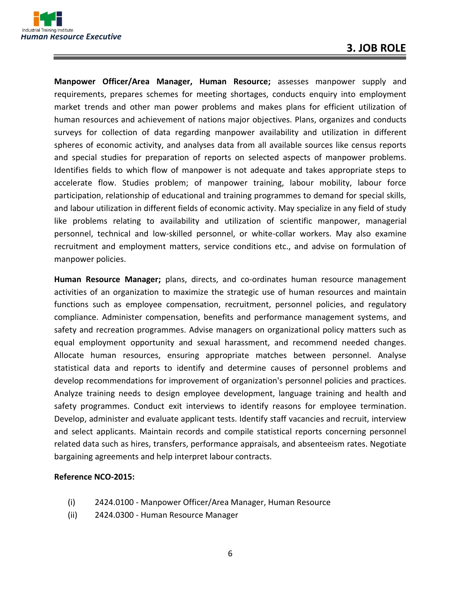

**Manpower Officer/Area Manager, Human Resource;** assesses manpower supply and requirements, prepares schemes for meeting shortages, conducts enquiry into employment market trends and other man power problems and makes plans for efficient utilization of human resources and achievement of nations major objectives. Plans, organizes and conducts surveys for collection of data regarding manpower availability and utilization in different spheres of economic activity, and analyses data from all available sources like census reports and special studies for preparation of reports on selected aspects of manpower problems. Identifies fields to which flow of manpower is not adequate and takes appropriate steps to accelerate flow. Studies problem; of manpower training, labour mobility, labour force participation, relationship of educational and training programmes to demand for special skills, and labour utilization in different fields of economic activity. May specialize in any field of study like problems relating to availability and utilization of scientific manpower, managerial personnel, technical and low-skilled personnel, or white-collar workers. May also examine recruitment and employment matters, service conditions etc., and advise on formulation of manpower policies.

**Human Resource Manager;** plans, directs, and co-ordinates human resource management activities of an organization to maximize the strategic use of human resources and maintain functions such as employee compensation, recruitment, personnel policies, and regulatory compliance. Administer compensation, benefits and performance management systems, and safety and recreation programmes. Advise managers on organizational policy matters such as equal employment opportunity and sexual harassment, and recommend needed changes. Allocate human resources, ensuring appropriate matches between personnel. Analyse statistical data and reports to identify and determine causes of personnel problems and develop recommendations for improvement of organization's personnel policies and practices. Analyze training needs to design employee development, language training and health and safety programmes. Conduct exit interviews to identify reasons for employee termination. Develop, administer and evaluate applicant tests. Identify staff vacancies and recruit, interview and select applicants. Maintain records and compile statistical reports concerning personnel related data such as hires, transfers, performance appraisals, and absenteeism rates. Negotiate bargaining agreements and help interpret labour contracts.

#### **Reference NCO-2015:**

- (i) 2424.0100 Manpower Officer/Area Manager, Human Resource
- (ii) 2424.0300 Human Resource Manager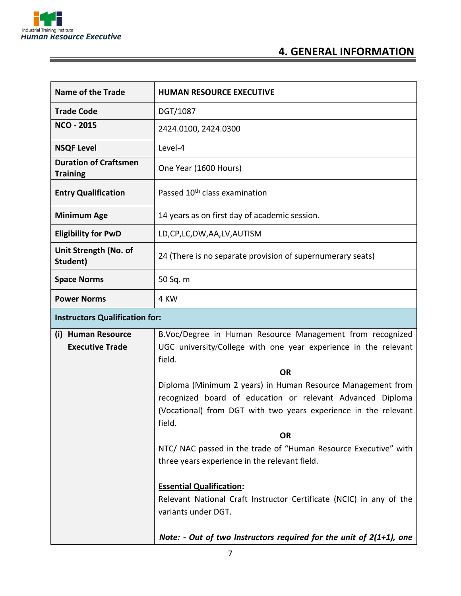

 $\equiv$ 

<u> Tanzania de la contenentación de la contenentación de la contenentación de la contenentación de la contenenta</u>

## **4. GENERAL INFORMATION**

| <b>Name of the Trade</b>                        | <b>HUMAN RESOURCE EXECUTIVE</b>                                                                                                        |  |  |
|-------------------------------------------------|----------------------------------------------------------------------------------------------------------------------------------------|--|--|
| <b>Trade Code</b>                               | DGT/1087                                                                                                                               |  |  |
| <b>NCO - 2015</b>                               | 2424.0100, 2424.0300                                                                                                                   |  |  |
| <b>NSQF Level</b>                               | Level-4                                                                                                                                |  |  |
| <b>Duration of Craftsmen</b><br><b>Training</b> | One Year (1600 Hours)                                                                                                                  |  |  |
| <b>Entry Qualification</b>                      | Passed 10 <sup>th</sup> class examination                                                                                              |  |  |
| <b>Minimum Age</b>                              | 14 years as on first day of academic session.                                                                                          |  |  |
| <b>Eligibility for PwD</b>                      | LD,CP,LC,DW,AA,LV,AUTISM                                                                                                               |  |  |
| Unit Strength (No. of<br>Student)               | 24 (There is no separate provision of supernumerary seats)                                                                             |  |  |
| <b>Space Norms</b>                              | 50 Sq. m                                                                                                                               |  |  |
| <b>Power Norms</b>                              | 4 KW                                                                                                                                   |  |  |
| <b>Instructors Qualification for:</b>           |                                                                                                                                        |  |  |
| (i) Human Resource<br><b>Executive Trade</b>    | B.Voc/Degree in Human Resource Management from recognized<br>UGC university/College with one year experience in the relevant<br>field. |  |  |
|                                                 | <b>OR</b>                                                                                                                              |  |  |
|                                                 | Diploma (Minimum 2 years) in Human Resource Management from<br>recognized board of education or relevant Advanced Diploma              |  |  |
|                                                 | (Vocational) from DGT with two years experience in the relevant<br>field.                                                              |  |  |
|                                                 | <b>OR</b>                                                                                                                              |  |  |
|                                                 | NTC/ NAC passed in the trade of "Human Resource Executive" with<br>three years experience in the relevant field.                       |  |  |
|                                                 | <b>Essential Qualification:</b><br>Relevant National Craft Instructor Certificate (NCIC) in any of the<br>variants under DGT.          |  |  |
|                                                 | Note: - Out of two Instructors required for the unit of $2(1+1)$ , one                                                                 |  |  |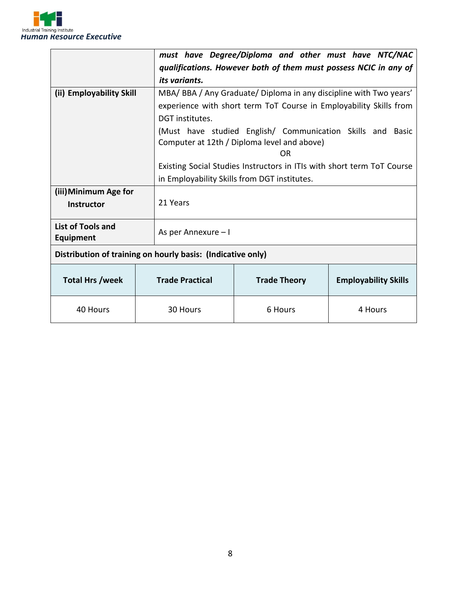

|                                            |                        | must have Degree/Diploma and other must have NTC/NAC                                       |         |  |  |
|--------------------------------------------|------------------------|--------------------------------------------------------------------------------------------|---------|--|--|
|                                            |                        | qualifications. However both of them must possess NCIC in any of                           |         |  |  |
|                                            | its variants.          |                                                                                            |         |  |  |
| (ii) Employability Skill                   |                        | MBA/BBA/Any Graduate/Diploma in any discipline with Two years'                             |         |  |  |
|                                            |                        | experience with short term ToT Course in Employability Skills from                         |         |  |  |
|                                            | DGT institutes.        |                                                                                            |         |  |  |
|                                            |                        | (Must have studied English/ Communication Skills and Basic                                 |         |  |  |
|                                            |                        | Computer at 12th / Diploma level and above)                                                |         |  |  |
|                                            |                        | OR                                                                                         |         |  |  |
|                                            |                        | Existing Social Studies Instructors in ITIs with short term ToT Course                     |         |  |  |
|                                            |                        | in Employability Skills from DGT institutes.                                               |         |  |  |
| (iii) Minimum Age for                      |                        |                                                                                            |         |  |  |
| <b>Instructor</b>                          | 21 Years               |                                                                                            |         |  |  |
|                                            |                        |                                                                                            |         |  |  |
| <b>List of Tools and</b>                   | As per Annexure - I    |                                                                                            |         |  |  |
|                                            |                        |                                                                                            |         |  |  |
|                                            |                        |                                                                                            |         |  |  |
|                                            |                        |                                                                                            |         |  |  |
|                                            |                        | <b>Trade Theory</b>                                                                        |         |  |  |
| 40 Hours                                   | 30 Hours               | 6 Hours                                                                                    | 4 Hours |  |  |
| <b>Equipment</b><br><b>Total Hrs /week</b> | <b>Trade Practical</b> | Distribution of training on hourly basis: (Indicative only)<br><b>Employability Skills</b> |         |  |  |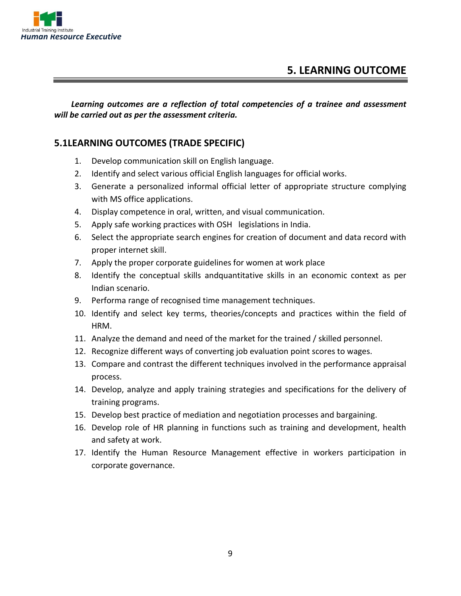

*Learning outcomes are a reflection of total competencies of a trainee and assessment will be carried out as per the assessment criteria.*

#### **5.1LEARNING OUTCOMES (TRADE SPECIFIC)**

- 1. Develop communication skill on English language.
- 2. Identify and select various official English languages for official works.
- 3. Generate a personalized informal official letter of appropriate structure complying with MS office applications.
- 4. Display competence in oral, written, and visual communication.
- 5. Apply safe working practices with OSH legislations in India.
- 6. Select the appropriate search engines for creation of document and data record with proper internet skill.
- 7. Apply the proper corporate guidelines for women at work place
- 8. Identify the conceptual skills andquantitative skills in an economic context as per Indian scenario.
- 9. Performa range of recognised time management techniques.
- 10. Identify and select key terms, theories/concepts and practices within the field of HRM.
- 11. Analyze the demand and need of the market for the trained / skilled personnel.
- 12. Recognize different ways of converting job evaluation point scores to wages.
- 13. Compare and contrast the different techniques involved in the performance appraisal process.
- 14. Develop, analyze and apply training strategies and specifications for the delivery of training programs.
- 15. Develop best practice of mediation and negotiation processes and bargaining.
- 16. Develop role of HR planning in functions such as training and development, health and safety at work.
- 17. Identify the Human Resource Management effective in workers participation in corporate governance.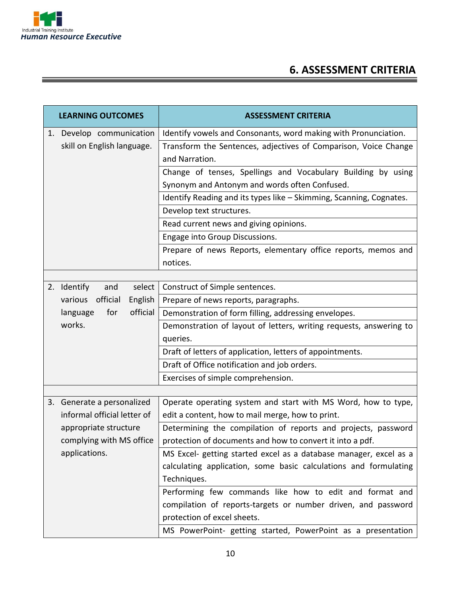

# **6. ASSESSMENT CRITERIA**

|                                                        | <b>LEARNING OUTCOMES</b>       | <b>ASSESSMENT CRITERIA</b>                                                                                                                                                                                                                                                                                                                   |  |  |
|--------------------------------------------------------|--------------------------------|----------------------------------------------------------------------------------------------------------------------------------------------------------------------------------------------------------------------------------------------------------------------------------------------------------------------------------------------|--|--|
| 1. Develop communication<br>skill on English language. |                                | Identify vowels and Consonants, word making with Pronunciation.<br>Transform the Sentences, adjectives of Comparison, Voice Change<br>and Narration.<br>Change of tenses, Spellings and Vocabulary Building by using<br>Synonym and Antonym and words often Confused.<br>Identify Reading and its types like - Skimming, Scanning, Cognates. |  |  |
|                                                        |                                | Develop text structures.<br>Read current news and giving opinions.                                                                                                                                                                                                                                                                           |  |  |
|                                                        |                                | Engage into Group Discussions.<br>Prepare of news Reports, elementary office reports, memos and<br>notices.                                                                                                                                                                                                                                  |  |  |
|                                                        |                                |                                                                                                                                                                                                                                                                                                                                              |  |  |
|                                                        | 2. Identify<br>and<br>select   | Construct of Simple sentences.                                                                                                                                                                                                                                                                                                               |  |  |
|                                                        | official<br>English<br>various | Prepare of news reports, paragraphs.                                                                                                                                                                                                                                                                                                         |  |  |
|                                                        | official<br>language<br>for    | Demonstration of form filling, addressing envelopes.                                                                                                                                                                                                                                                                                         |  |  |
|                                                        | works.                         | Demonstration of layout of letters, writing requests, answering to                                                                                                                                                                                                                                                                           |  |  |
|                                                        |                                | queries.                                                                                                                                                                                                                                                                                                                                     |  |  |
|                                                        |                                | Draft of letters of application, letters of appointments.                                                                                                                                                                                                                                                                                    |  |  |
|                                                        |                                | Draft of Office notification and job orders.                                                                                                                                                                                                                                                                                                 |  |  |
|                                                        |                                | Exercises of simple comprehension.                                                                                                                                                                                                                                                                                                           |  |  |
|                                                        |                                |                                                                                                                                                                                                                                                                                                                                              |  |  |
|                                                        | 3. Generate a personalized     | Operate operating system and start with MS Word, how to type,                                                                                                                                                                                                                                                                                |  |  |
|                                                        | informal official letter of    | edit a content, how to mail merge, how to print.                                                                                                                                                                                                                                                                                             |  |  |
|                                                        | appropriate structure          | Determining the compilation of reports and projects, password                                                                                                                                                                                                                                                                                |  |  |
|                                                        | complying with MS office       | protection of documents and how to convert it into a pdf.                                                                                                                                                                                                                                                                                    |  |  |
|                                                        | applications.                  | MS Excel- getting started excel as a database manager, excel as a                                                                                                                                                                                                                                                                            |  |  |
|                                                        |                                | calculating application, some basic calculations and formulating<br>Techniques.                                                                                                                                                                                                                                                              |  |  |
|                                                        |                                | Performing few commands like how to edit and format and                                                                                                                                                                                                                                                                                      |  |  |
|                                                        |                                | compilation of reports-targets or number driven, and password<br>protection of excel sheets.                                                                                                                                                                                                                                                 |  |  |
|                                                        |                                | MS PowerPoint- getting started, PowerPoint as a presentation                                                                                                                                                                                                                                                                                 |  |  |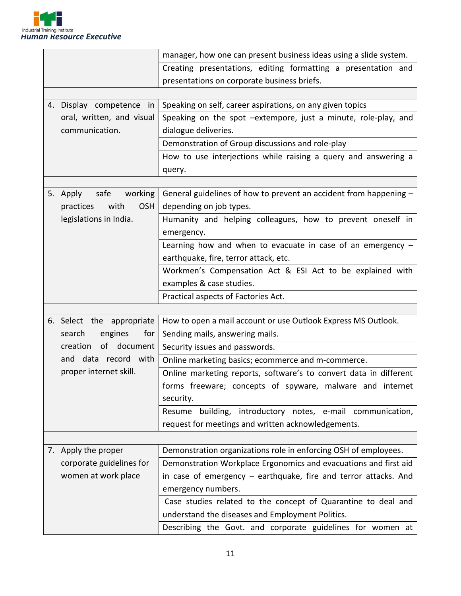

|                                 | manager, how one can present business ideas using a slide system. |
|---------------------------------|-------------------------------------------------------------------|
|                                 | Creating presentations, editing formatting a presentation and     |
|                                 | presentations on corporate business briefs.                       |
|                                 |                                                                   |
| 4. Display competence in        | Speaking on self, career aspirations, on any given topics         |
| oral, written, and visual       | Speaking on the spot -extempore, just a minute, role-play, and    |
| communication.                  | dialogue deliveries.                                              |
|                                 | Demonstration of Group discussions and role-play                  |
|                                 | How to use interjections while raising a query and answering a    |
|                                 | query.                                                            |
|                                 |                                                                   |
| 5. Apply<br>safe<br>working     | General guidelines of how to prevent an accident from happening - |
| <b>OSH</b><br>practices<br>with | depending on job types.                                           |
| legislations in India.          | Humanity and helping colleagues, how to prevent oneself in        |
|                                 | emergency.                                                        |
|                                 | Learning how and when to evacuate in case of an emergency $-$     |
|                                 | earthquake, fire, terror attack, etc.                             |
|                                 | Workmen's Compensation Act & ESI Act to be explained with         |
|                                 | examples & case studies.                                          |
|                                 | Practical aspects of Factories Act.                               |
|                                 |                                                                   |
| 6. Select the appropriate       | How to open a mail account or use Outlook Express MS Outlook.     |
| search<br>engines<br>for        | Sending mails, answering mails.                                   |
| creation<br>of document         | Security issues and passwords.                                    |
| and data record with            | Online marketing basics; ecommerce and m-commerce.                |
| proper internet skill.          | Online marketing reports, software's to convert data in different |
|                                 | forms freeware; concepts of spyware, malware and internet         |
|                                 | security.                                                         |
|                                 | Resume building, introductory notes, e-mail communication,        |
|                                 | request for meetings and written acknowledgements.                |
|                                 |                                                                   |
| 7. Apply the proper             | Demonstration organizations role in enforcing OSH of employees.   |
| corporate guidelines for        | Demonstration Workplace Ergonomics and evacuations and first aid  |
| women at work place             | in case of emergency - earthquake, fire and terror attacks. And   |
|                                 | emergency numbers.                                                |
|                                 | Case studies related to the concept of Quarantine to deal and     |
|                                 | understand the diseases and Employment Politics.                  |
|                                 | Describing the Govt. and corporate guidelines for women at        |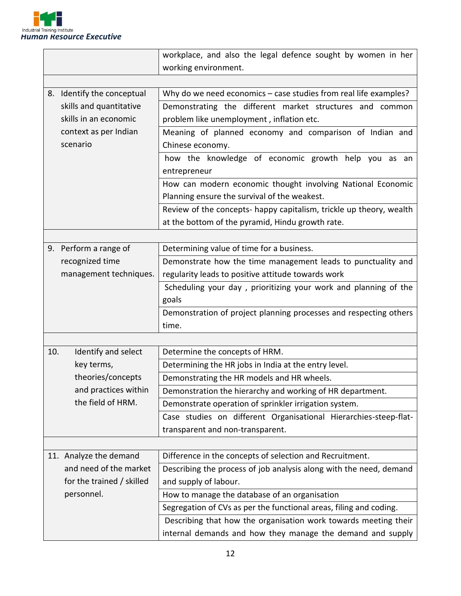

|     |                                                             | workplace, and also the legal defence sought by women in her        |  |  |
|-----|-------------------------------------------------------------|---------------------------------------------------------------------|--|--|
|     |                                                             | working environment.                                                |  |  |
|     |                                                             |                                                                     |  |  |
|     | 8. Identify the conceptual                                  | Why do we need economics - case studies from real life examples?    |  |  |
|     | skills and quantitative                                     | Demonstrating the different market structures and common            |  |  |
|     | skills in an economic                                       | problem like unemployment, inflation etc.                           |  |  |
|     | context as per Indian                                       | Meaning of planned economy and comparison of Indian and             |  |  |
|     | scenario                                                    | Chinese economy.                                                    |  |  |
|     |                                                             | how the knowledge of economic growth help you as an                 |  |  |
|     |                                                             | entrepreneur                                                        |  |  |
|     |                                                             | How can modern economic thought involving National Economic         |  |  |
|     |                                                             | Planning ensure the survival of the weakest.                        |  |  |
|     |                                                             | Review of the concepts- happy capitalism, trickle up theory, wealth |  |  |
|     |                                                             | at the bottom of the pyramid, Hindu growth rate.                    |  |  |
|     |                                                             |                                                                     |  |  |
|     | 9. Perform a range of                                       | Determining value of time for a business.                           |  |  |
|     | recognized time                                             | Demonstrate how the time management leads to punctuality and        |  |  |
|     | management techniques.                                      | regularity leads to positive attitude towards work                  |  |  |
|     |                                                             | Scheduling your day, prioritizing your work and planning of the     |  |  |
|     |                                                             | goals                                                               |  |  |
|     |                                                             | Demonstration of project planning processes and respecting others   |  |  |
|     |                                                             | time.                                                               |  |  |
|     |                                                             |                                                                     |  |  |
| 10. | Identify and select                                         | Determine the concepts of HRM.                                      |  |  |
|     | key terms,                                                  | Determining the HR jobs in India at the entry level.                |  |  |
|     | theories/concepts                                           | Demonstrating the HR models and HR wheels.                          |  |  |
|     | and practices within                                        | Demonstration the hierarchy and working of HR department.           |  |  |
|     | the field of HRM.                                           | Demonstrate operation of sprinkler irrigation system.               |  |  |
|     |                                                             | Case studies on different Organisational Hierarchies-steep-flat-    |  |  |
|     |                                                             | transparent and non-transparent.                                    |  |  |
|     |                                                             |                                                                     |  |  |
|     | 11. Analyze the demand                                      | Difference in the concepts of selection and Recruitment.            |  |  |
|     | and need of the market                                      | Describing the process of job analysis along with the need, demand  |  |  |
|     | for the trained / skilled                                   | and supply of labour.                                               |  |  |
|     | personnel.<br>How to manage the database of an organisation |                                                                     |  |  |
|     |                                                             | Segregation of CVs as per the functional areas, filing and coding.  |  |  |
|     |                                                             | Describing that how the organisation work towards meeting their     |  |  |
|     |                                                             | internal demands and how they manage the demand and supply          |  |  |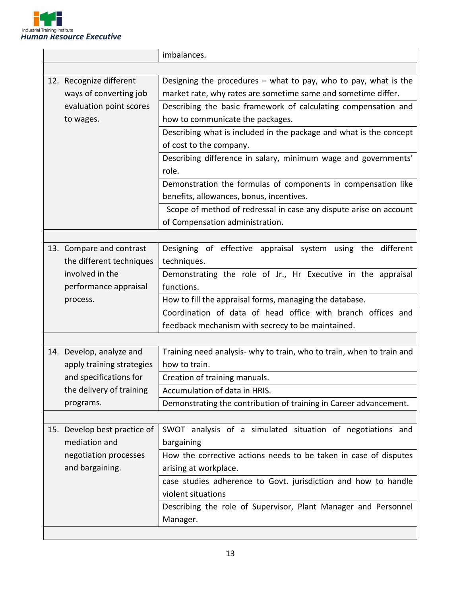

|                                                      |                              | imbalances.                                                           |  |
|------------------------------------------------------|------------------------------|-----------------------------------------------------------------------|--|
|                                                      |                              |                                                                       |  |
|                                                      | 12. Recognize different      | Designing the procedures $-$ what to pay, who to pay, what is the     |  |
|                                                      | ways of converting job       | market rate, why rates are sometime same and sometime differ.         |  |
| evaluation point scores<br>to wages.                 |                              | Describing the basic framework of calculating compensation and        |  |
|                                                      |                              | how to communicate the packages.                                      |  |
|                                                      |                              | Describing what is included in the package and what is the concept    |  |
|                                                      |                              | of cost to the company.                                               |  |
|                                                      |                              | Describing difference in salary, minimum wage and governments'        |  |
|                                                      |                              | role.                                                                 |  |
|                                                      |                              | Demonstration the formulas of components in compensation like         |  |
|                                                      |                              | benefits, allowances, bonus, incentives.                              |  |
|                                                      |                              | Scope of method of redressal in case any dispute arise on account     |  |
|                                                      |                              | of Compensation administration.                                       |  |
|                                                      |                              |                                                                       |  |
|                                                      | 13. Compare and contrast     | Designing of effective appraisal system using the different           |  |
|                                                      | the different techniques     | techniques.                                                           |  |
| involved in the<br>performance appraisal<br>process. |                              | Demonstrating the role of Jr., Hr Executive in the appraisal          |  |
|                                                      |                              | functions.                                                            |  |
|                                                      |                              | How to fill the appraisal forms, managing the database.               |  |
|                                                      |                              | Coordination of data of head office with branch offices and           |  |
|                                                      |                              | feedback mechanism with secrecy to be maintained.                     |  |
|                                                      |                              |                                                                       |  |
|                                                      | 14. Develop, analyze and     | Training need analysis- why to train, who to train, when to train and |  |
|                                                      | apply training strategies    | how to train.                                                         |  |
|                                                      | and specifications for       | Creation of training manuals.                                         |  |
|                                                      | the delivery of training     | Accumulation of data in HRIS.                                         |  |
|                                                      | programs.                    | Demonstrating the contribution of training in Career advancement.     |  |
|                                                      |                              |                                                                       |  |
|                                                      | 15. Develop best practice of | SWOT analysis of a simulated situation of negotiations and            |  |
|                                                      | mediation and                | bargaining                                                            |  |
|                                                      | negotiation processes        | How the corrective actions needs to be taken in case of disputes      |  |
|                                                      | and bargaining.              | arising at workplace.                                                 |  |
|                                                      |                              | case studies adherence to Govt. jurisdiction and how to handle        |  |
|                                                      |                              | violent situations                                                    |  |
|                                                      |                              | Describing the role of Supervisor, Plant Manager and Personnel        |  |
|                                                      |                              | Manager.                                                              |  |
|                                                      |                              |                                                                       |  |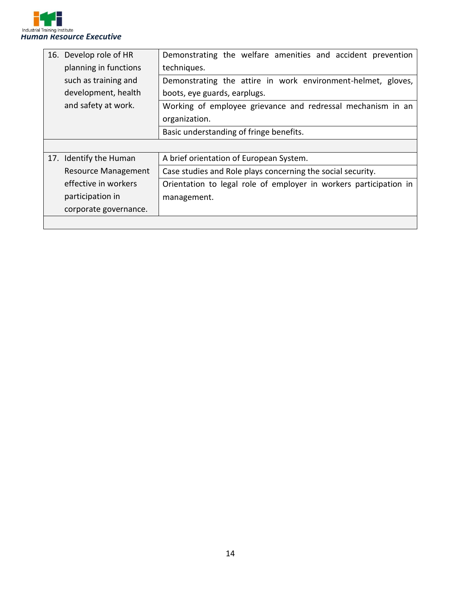

| 16. Develop role of HR     | Demonstrating the welfare amenities and accident prevention       |  |  |  |  |
|----------------------------|-------------------------------------------------------------------|--|--|--|--|
| planning in functions      | techniques.                                                       |  |  |  |  |
| such as training and       | Demonstrating the attire in work environment-helmet, gloves,      |  |  |  |  |
| development, health        | boots, eye guards, earplugs.                                      |  |  |  |  |
| and safety at work.        | Working of employee grievance and redressal mechanism in an       |  |  |  |  |
|                            | organization.                                                     |  |  |  |  |
|                            | Basic understanding of fringe benefits.                           |  |  |  |  |
|                            |                                                                   |  |  |  |  |
|                            |                                                                   |  |  |  |  |
| 17. Identify the Human     | A brief orientation of European System.                           |  |  |  |  |
| <b>Resource Management</b> | Case studies and Role plays concerning the social security.       |  |  |  |  |
| effective in workers       | Orientation to legal role of employer in workers participation in |  |  |  |  |
| participation in           | management.                                                       |  |  |  |  |
| corporate governance.      |                                                                   |  |  |  |  |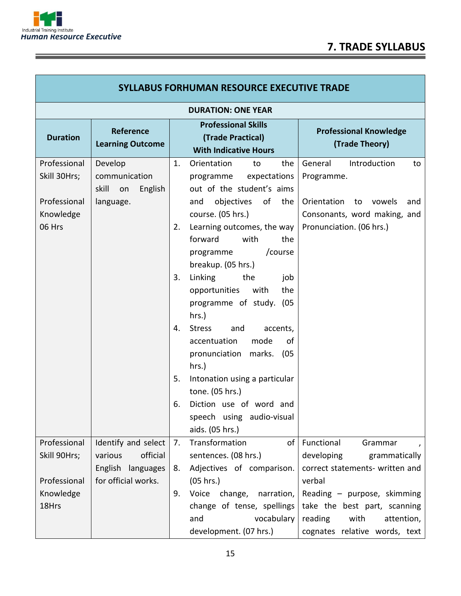

Г

Ì

| <b>SYLLABUS FORHUMAN RESOURCE EXECUTIVE TRADE</b> |                                                                                                                         |    |                                                                                                            |                                                              |  |
|---------------------------------------------------|-------------------------------------------------------------------------------------------------------------------------|----|------------------------------------------------------------------------------------------------------------|--------------------------------------------------------------|--|
| <b>DURATION: ONE YEAR</b>                         |                                                                                                                         |    |                                                                                                            |                                                              |  |
| <b>Duration</b>                                   | <b>Professional Skills</b><br>Reference<br>(Trade Practical)<br><b>Learning Outcome</b><br><b>With Indicative Hours</b> |    | <b>Professional Knowledge</b><br>(Trade Theory)                                                            |                                                              |  |
| Professional                                      | Develop                                                                                                                 | 1. | Orientation<br>to<br>the                                                                                   | General<br>Introduction<br>to                                |  |
| Skill 30Hrs;                                      | communication                                                                                                           |    | programme expectations                                                                                     | Programme.                                                   |  |
| Professional<br>Knowledge                         | skill on<br>English<br>language.                                                                                        |    | out of the student's aims<br>objectives of<br>the<br>and<br>course. (05 hrs.)                              | Orientation to vowels<br>and<br>Consonants, word making, and |  |
| 06 Hrs                                            |                                                                                                                         | 2. | Learning outcomes, the way                                                                                 | Pronunciation. (06 hrs.)                                     |  |
|                                                   |                                                                                                                         |    | the<br>forward<br>with<br>/course<br>programme<br>breakup. (05 hrs.)                                       |                                                              |  |
|                                                   |                                                                                                                         | 3. | Linking<br>the<br>job<br>the<br>opportunities<br>with<br>programme of study. (05<br>hrs.)                  |                                                              |  |
|                                                   |                                                                                                                         | 4. | <b>Stress</b><br>and<br>accents,<br>mode<br>accentuation<br>of<br>pronunciation<br>marks.<br>(05)<br>hrs.) |                                                              |  |
|                                                   |                                                                                                                         | 5. | Intonation using a particular                                                                              |                                                              |  |
|                                                   |                                                                                                                         | 6. | tone. (05 hrs.)<br>Diction use of word and                                                                 |                                                              |  |
|                                                   |                                                                                                                         |    | speech using audio-visual<br>aids. (05 hrs.)                                                               |                                                              |  |
| Professional                                      | Identify and select                                                                                                     | 7. | Transformation<br>of                                                                                       | Functional<br>Grammar                                        |  |
| Skill 90Hrs;                                      | official<br>various                                                                                                     |    | sentences. (08 hrs.)                                                                                       | developing<br>grammatically                                  |  |
| Professional                                      | English languages<br>for official works.                                                                                | 8. | Adjectives of comparison.<br>(05 hrs.)                                                                     | correct statements- written and<br>verbal                    |  |
| Knowledge                                         |                                                                                                                         | 9. | Voice change,<br>narration,                                                                                | Reading - purpose, skimming                                  |  |
| 18Hrs                                             |                                                                                                                         |    | change of tense, spellings                                                                                 | take the best part, scanning                                 |  |
|                                                   |                                                                                                                         |    | vocabulary<br>and                                                                                          | reading<br>with<br>attention,                                |  |
|                                                   |                                                                                                                         |    | development. (07 hrs.)                                                                                     | cognates relative words, text                                |  |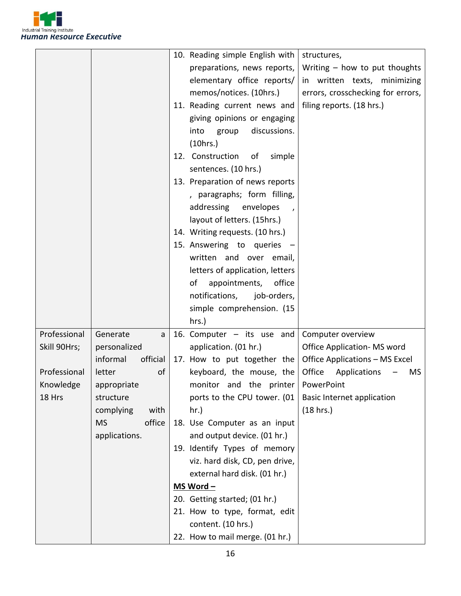

|              |                          | 10. Reading simple English with<br>structures,                   |
|--------------|--------------------------|------------------------------------------------------------------|
|              |                          | preparations, news reports,<br>Writing - how to put thoughts     |
|              |                          | elementary office reports/<br>in written texts, minimizing       |
|              |                          | memos/notices. (10hrs.)<br>errors, crosschecking for errors,     |
|              |                          | 11. Reading current news and<br>filing reports. (18 hrs.)        |
|              |                          | giving opinions or engaging                                      |
|              |                          | discussions.<br>into<br>group                                    |
|              |                          | (10 hrs.)                                                        |
|              |                          | 12. Construction<br>of<br>simple                                 |
|              |                          | sentences. (10 hrs.)                                             |
|              |                          | 13. Preparation of news reports                                  |
|              |                          | , paragraphs; form filling,                                      |
|              |                          | addressing<br>envelopes                                          |
|              |                          | layout of letters. (15hrs.)                                      |
|              |                          | 14. Writing requests. (10 hrs.)                                  |
|              |                          | 15. Answering to queries -                                       |
|              |                          | written and over email,                                          |
|              |                          | letters of application, letters                                  |
|              |                          | appointments,<br>of<br>office                                    |
|              |                          | notifications,<br>job-orders,                                    |
|              |                          | simple comprehension. (15                                        |
|              |                          | hrs.)                                                            |
| Professional | Generate<br>$\mathsf{a}$ | 16. Computer $-$ its use and<br>Computer overview                |
| Skill 90Hrs; | personalized             | application. (01 hr.)<br><b>Office Application- MS word</b>      |
|              | informal<br>official     | 17. How to put together the<br>Office Applications - MS Excel    |
| Professional | letter<br>οf             | Office Applications<br>keyboard, the mouse, the<br>MS.           |
| Knowledge    | appropriate              | monitor and the printer   PowerPoint                             |
| 18 Hrs       | structure                | ports to the CPU tower. (01<br><b>Basic Internet application</b> |
|              | with<br>complying        | (18 hrs.)<br>hr.)                                                |
|              | office<br><b>MS</b>      | 18. Use Computer as an input                                     |
|              | applications.            | and output device. (01 hr.)                                      |
|              |                          | 19. Identify Types of memory                                     |
|              |                          | viz. hard disk, CD, pen drive,                                   |
|              |                          | external hard disk. (01 hr.)                                     |
|              |                          | MS Word -                                                        |
|              |                          | 20. Getting started; (01 hr.)                                    |
|              |                          | 21. How to type, format, edit                                    |
|              |                          | content. (10 hrs.)                                               |
|              |                          | 22. How to mail merge. (01 hr.)                                  |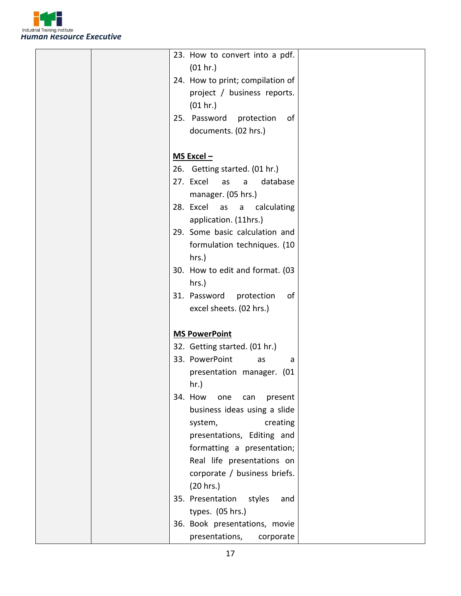

| 23. How to convert into a pdf.    |
|-----------------------------------|
| (01 hr.)                          |
| 24. How to print; compilation of  |
| project / business reports.       |
| (01 hr.)                          |
| 25. Password<br>protection<br>0f  |
| documents. (02 hrs.)              |
|                                   |
| $MS$ Excel $-$                    |
| 26. Getting started. (01 hr.)     |
| 27. Excel<br>database<br>as<br>a  |
| manager. (05 hrs.)                |
| 28. Excel as a<br>calculating     |
| application. (11hrs.)             |
| 29. Some basic calculation and    |
| formulation techniques. (10       |
| hrs.)                             |
| 30. How to edit and format. (03   |
| hrs.)                             |
| 31. Password<br>protection<br>οf  |
| excel sheets. (02 hrs.)           |
|                                   |
| <b>MS PowerPoint</b>              |
| 32. Getting started. (01 hr.)     |
| 33. PowerPoint<br>as<br>a         |
| presentation manager. (01         |
| $hr.$ )                           |
| 34. How<br>one<br>can<br>present  |
| business ideas using a slide      |
| creating<br>system,               |
| presentations, Editing and        |
| formatting a presentation;        |
| Real life presentations on        |
| corporate / business briefs.      |
| (20 hrs.)                         |
| 35. Presentation<br>styles<br>and |
| types. (05 hrs.)                  |
| 36. Book presentations, movie     |
| presentations,<br>corporate       |
|                                   |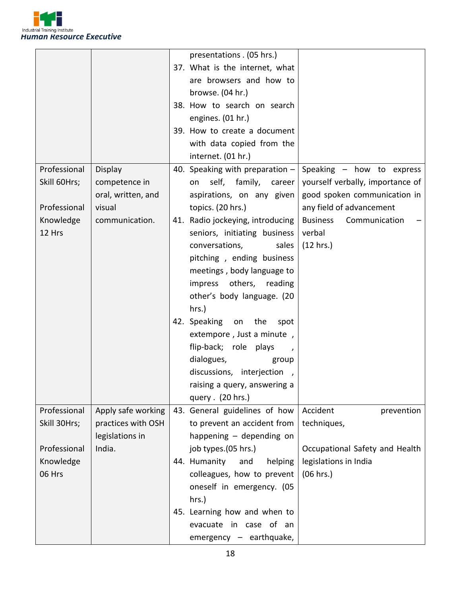

|              |                    | presentations. (05 hrs.)          |                                  |
|--------------|--------------------|-----------------------------------|----------------------------------|
|              |                    | 37. What is the internet, what    |                                  |
|              |                    | are browsers and how to           |                                  |
|              |                    | browse. (04 hr.)                  |                                  |
|              |                    | 38. How to search on search       |                                  |
|              |                    | engines. (01 hr.)                 |                                  |
|              |                    | 39. How to create a document      |                                  |
|              |                    | with data copied from the         |                                  |
|              |                    | internet. (01 hr.)                |                                  |
| Professional | Display            | 40. Speaking with preparation $-$ | Speaking - how to express        |
| Skill 60Hrs; | competence in      | self, family,<br>career<br>on     | yourself verbally, importance of |
|              | oral, written, and | aspirations, on any given         | good spoken communication in     |
| Professional | visual             | topics. (20 hrs.)                 | any field of advancement         |
| Knowledge    | communication.     | 41. Radio jockeying, introducing  | <b>Business</b><br>Communication |
| 12 Hrs       |                    | seniors, initiating business      | verbal                           |
|              |                    | conversations,<br>sales           | (12 hrs.)                        |
|              |                    | pitching, ending business         |                                  |
|              |                    | meetings, body language to        |                                  |
|              |                    | impress others, reading           |                                  |
|              |                    | other's body language. (20        |                                  |
|              |                    | hrs.)                             |                                  |
|              |                    | 42. Speaking on the<br>spot       |                                  |
|              |                    | extempore, Just a minute,         |                                  |
|              |                    |                                   |                                  |
|              |                    | flip-back; role plays             |                                  |
|              |                    | dialogues,<br>group               |                                  |
|              |                    | discussions, interjection,        |                                  |
|              |                    | raising a query, answering a      |                                  |
|              |                    | query . (20 hrs.)                 |                                  |
| Professional | Apply safe working | 43. General guidelines of how     | Accident<br>prevention           |
| Skill 30Hrs; | practices with OSH | to prevent an accident from       | techniques,                      |
|              | legislations in    | happening $-$ depending on        |                                  |
| Professional | India.             | job types.(05 hrs.)               | Occupational Safety and Health   |
| Knowledge    |                    | 44. Humanity<br>and<br>helping    | legislations in India            |
| 06 Hrs       |                    | colleagues, how to prevent        | (06 hrs.)                        |
|              |                    | oneself in emergency. (05         |                                  |
|              |                    | hrs.)                             |                                  |
|              |                    | 45. Learning how and when to      |                                  |
|              |                    | evacuate in case of an            |                                  |
|              |                    | emergency - earthquake,           |                                  |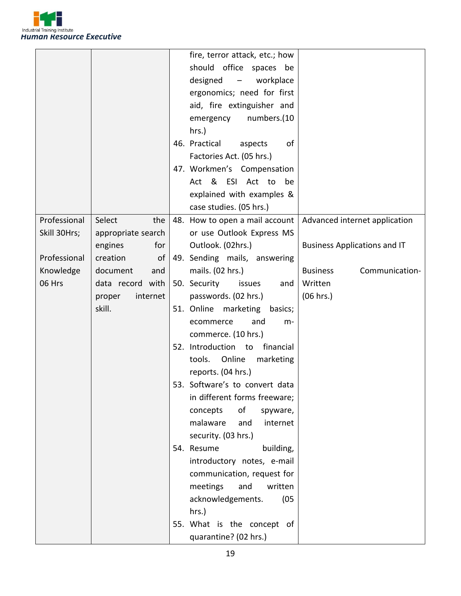

|              |                    |     | fire, terror attack, etc.; how                    |                                     |
|--------------|--------------------|-----|---------------------------------------------------|-------------------------------------|
|              |                    |     | should office spaces be                           |                                     |
|              |                    |     | designed<br>workplace<br>$\overline{\phantom{m}}$ |                                     |
|              |                    |     | ergonomics; need for first                        |                                     |
|              |                    |     | aid, fire extinguisher and                        |                                     |
|              |                    |     | numbers.(10<br>emergency                          |                                     |
|              |                    |     | hrs.)                                             |                                     |
|              |                    |     | 46. Practical<br>of<br>aspects                    |                                     |
|              |                    |     | Factories Act. (05 hrs.)                          |                                     |
|              |                    |     | 47. Workmen's Compensation                        |                                     |
|              |                    |     | Act & ESI Act to<br>be                            |                                     |
|              |                    |     | explained with examples &                         |                                     |
|              |                    |     | case studies. (05 hrs.)                           |                                     |
| Professional | Select<br>the      |     | 48. How to open a mail account                    | Advanced internet application       |
| Skill 30Hrs; | appropriate search |     | or use Outlook Express MS                         |                                     |
|              | engines<br>for     |     | Outlook. (02hrs.)                                 | <b>Business Applications and IT</b> |
| Professional | creation<br>οf     |     | 49. Sending mails, answering                      |                                     |
| Knowledge    | document<br>and    |     | mails. (02 hrs.)                                  | <b>Business</b><br>Communication-   |
| 06 Hrs       | data record with   |     | 50. Security<br>issues<br>and                     | Written                             |
|              | internet<br>proper |     | passwords. (02 hrs.)                              | (06 hrs.)                           |
|              | skill.             |     | 51. Online marketing<br>basics;                   |                                     |
|              |                    |     | and<br>ecommerce<br>$m-$                          |                                     |
|              |                    |     | commerce. (10 hrs.)                               |                                     |
|              |                    |     | 52. Introduction to<br>financial                  |                                     |
|              |                    |     | Online<br>tools.<br>marketing                     |                                     |
|              |                    |     | reports. (04 hrs.)                                |                                     |
|              |                    | 53. | Software's to convert data                        |                                     |
|              |                    |     | in different forms freeware;                      |                                     |
|              |                    |     | of<br>concepts<br>spyware,                        |                                     |
|              |                    |     | malaware<br>internet<br>and                       |                                     |
|              |                    |     | security. (03 hrs.)                               |                                     |
|              |                    |     | 54. Resume<br>building,                           |                                     |
|              |                    |     | introductory notes, e-mail                        |                                     |
|              |                    |     | communication, request for                        |                                     |
|              |                    |     | meetings<br>and<br>written                        |                                     |
|              |                    |     | (05)<br>acknowledgements.                         |                                     |
|              |                    |     | hrs.)                                             |                                     |
|              |                    |     | 55. What is the concept of                        |                                     |
|              |                    |     | quarantine? (02 hrs.)                             |                                     |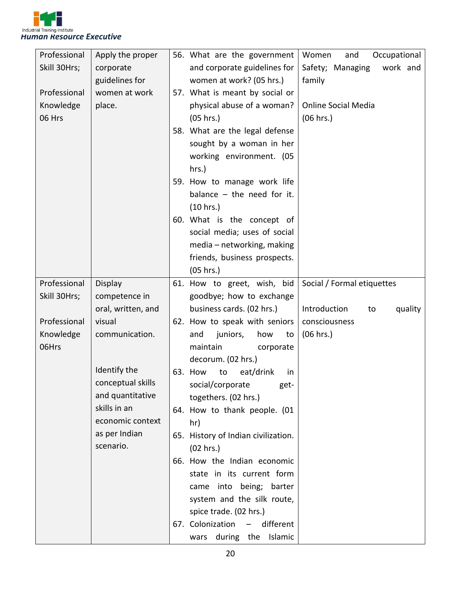

| Professional | Apply the proper   | 56. What are the government         | Occupational<br>Women<br>and  |
|--------------|--------------------|-------------------------------------|-------------------------------|
| Skill 30Hrs; | corporate          | and corporate guidelines for        | Safety; Managing<br>work and  |
|              | guidelines for     | women at work? (05 hrs.)            | family                        |
| Professional | women at work      | 57. What is meant by social or      |                               |
| Knowledge    | place.             | physical abuse of a woman?          | <b>Online Social Media</b>    |
| 06 Hrs       |                    | (05 hrs.)                           | (06 hrs.)                     |
|              |                    | 58. What are the legal defense      |                               |
|              |                    | sought by a woman in her            |                               |
|              |                    | working environment. (05            |                               |
|              |                    | hrs.)                               |                               |
|              |                    | 59. How to manage work life         |                               |
|              |                    | balance $-$ the need for it.        |                               |
|              |                    | (10 hrs.)                           |                               |
|              |                    | 60. What is the concept of          |                               |
|              |                    | social media; uses of social        |                               |
|              |                    | media - networking, making          |                               |
|              |                    | friends, business prospects.        |                               |
|              |                    | (05 hrs.)                           |                               |
| Professional | Display            | 61. How to greet, wish, bid         | Social / Formal etiquettes    |
| Skill 30Hrs; | competence in      | goodbye; how to exchange            |                               |
|              | oral, written, and | business cards. (02 hrs.)           | Introduction<br>quality<br>to |
| Professional | visual             | 62. How to speak with seniors       | consciousness                 |
| Knowledge    | communication.     | and<br>juniors,<br>how<br>to        | (06 hrs.)                     |
| 06Hrs        |                    | maintain<br>corporate               |                               |
|              |                    | decorum. (02 hrs.)                  |                               |
|              | Identify the       |                                     |                               |
|              |                    | 63. How<br>to<br>eat/drink<br>in.   |                               |
|              | conceptual skills  | social/corporate<br>get-            |                               |
|              | and quantitative   | togethers. (02 hrs.)                |                               |
|              | skills in an       | 64. How to thank people. (01        |                               |
|              | economic context   | hr)                                 |                               |
|              | as per Indian      | 65. History of Indian civilization. |                               |
|              | scenario.          | (02 hrs.)                           |                               |
|              |                    | 66. How the Indian economic         |                               |
|              |                    | state in its current form           |                               |
|              |                    | came into being; barter             |                               |
|              |                    | system and the silk route,          |                               |
|              |                    | spice trade. (02 hrs.)              |                               |
|              |                    | 67. Colonization - different        |                               |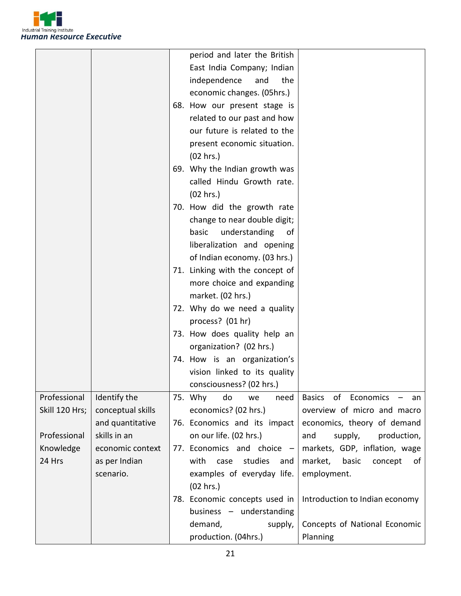

|                |                   | period and later the British    |                                   |
|----------------|-------------------|---------------------------------|-----------------------------------|
|                |                   | East India Company; Indian      |                                   |
|                |                   | independence<br>the<br>and      |                                   |
|                |                   | economic changes. (05hrs.)      |                                   |
|                |                   | 68. How our present stage is    |                                   |
|                |                   | related to our past and how     |                                   |
|                |                   | our future is related to the    |                                   |
|                |                   | present economic situation.     |                                   |
|                |                   | (02 hrs.)                       |                                   |
|                |                   | 69. Why the Indian growth was   |                                   |
|                |                   | called Hindu Growth rate.       |                                   |
|                |                   | (02 hrs.)                       |                                   |
|                |                   | 70. How did the growth rate     |                                   |
|                |                   | change to near double digit;    |                                   |
|                |                   | understanding<br>basic<br>of    |                                   |
|                |                   | liberalization and opening      |                                   |
|                |                   | of Indian economy. (03 hrs.)    |                                   |
|                |                   | 71. Linking with the concept of |                                   |
|                |                   | more choice and expanding       |                                   |
|                |                   | market. (02 hrs.)               |                                   |
|                |                   | 72. Why do we need a quality    |                                   |
|                |                   | process? (01 hr)                |                                   |
|                |                   | 73. How does quality help an    |                                   |
|                |                   | organization? (02 hrs.)         |                                   |
|                |                   | 74. How is an organization's    |                                   |
|                |                   | vision linked to its quality    |                                   |
|                |                   | consciousness? (02 hrs.)        |                                   |
| Professional   | Identify the      | 75. Why<br>do<br>need<br>we     | Basics of Economics<br>an         |
| Skill 120 Hrs; | conceptual skills | economics? (02 hrs.)            | overview of micro and macro       |
|                | and quantitative  | 76. Economics and its impact    | economics, theory of demand       |
| Professional   | skills in an      | on our life. (02 hrs.)          | production,<br>and<br>supply,     |
| Knowledge      | economic context  | 77. Economics and choice -      | markets, GDP, inflation, wage     |
| 24 Hrs         | as per Indian     | studies<br>with<br>case<br>and  | market,<br>basic<br>concept<br>of |
|                | scenario.         | examples of everyday life.      | employment.                       |
|                |                   | (02 hrs.)                       |                                   |
|                |                   | 78. Economic concepts used in   | Introduction to Indian economy    |
|                |                   | business - understanding        |                                   |
|                |                   | demand,<br>supply,              | Concepts of National Economic     |
|                |                   | production. (04hrs.)            | Planning                          |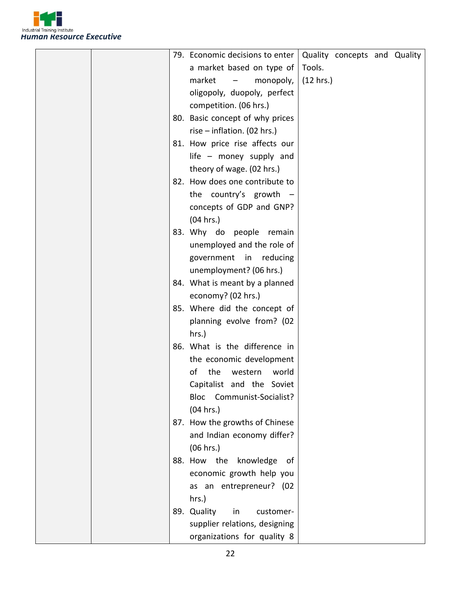

|  | 79. Economic decisions to enter                 |           | Quality concepts and Quality |  |
|--|-------------------------------------------------|-----------|------------------------------|--|
|  | a market based on type of                       | Tools.    |                              |  |
|  | market<br>monopoly,<br>$\overline{\phantom{m}}$ | (12 hrs.) |                              |  |
|  | oligopoly, duopoly, perfect                     |           |                              |  |
|  | competition. (06 hrs.)                          |           |                              |  |
|  | 80. Basic concept of why prices                 |           |                              |  |
|  | rise $-$ inflation. (02 hrs.)                   |           |                              |  |
|  | 81. How price rise affects our                  |           |                              |  |
|  | life $-$ money supply and                       |           |                              |  |
|  | theory of wage. (02 hrs.)                       |           |                              |  |
|  | 82. How does one contribute to                  |           |                              |  |
|  | the country's growth $-$                        |           |                              |  |
|  | concepts of GDP and GNP?                        |           |                              |  |
|  | (04 hrs.)                                       |           |                              |  |
|  | 83. Why do people<br>remain                     |           |                              |  |
|  | unemployed and the role of                      |           |                              |  |
|  | government<br>in reducing                       |           |                              |  |
|  | unemployment? (06 hrs.)                         |           |                              |  |
|  | 84. What is meant by a planned                  |           |                              |  |
|  | economy? (02 hrs.)                              |           |                              |  |
|  | 85. Where did the concept of                    |           |                              |  |
|  | planning evolve from? (02                       |           |                              |  |
|  | hrs.)                                           |           |                              |  |
|  | 86. What is the difference in                   |           |                              |  |
|  | the economic development                        |           |                              |  |
|  | the<br>of<br>western<br>world                   |           |                              |  |
|  | Capitalist and the Soviet                       |           |                              |  |
|  | Bloc Communist-Socialist?                       |           |                              |  |
|  | (04 hrs.)                                       |           |                              |  |
|  | 87. How the growths of Chinese                  |           |                              |  |
|  | and Indian economy differ?                      |           |                              |  |
|  | (06 hrs.)                                       |           |                              |  |
|  | 88. How the knowledge<br>of                     |           |                              |  |
|  | economic growth help you                        |           |                              |  |
|  | as an entrepreneur? (02                         |           |                              |  |
|  | hrs.)                                           |           |                              |  |
|  | 89. Quality<br>in<br>customer-                  |           |                              |  |
|  | supplier relations, designing                   |           |                              |  |
|  | organizations for quality 8                     |           |                              |  |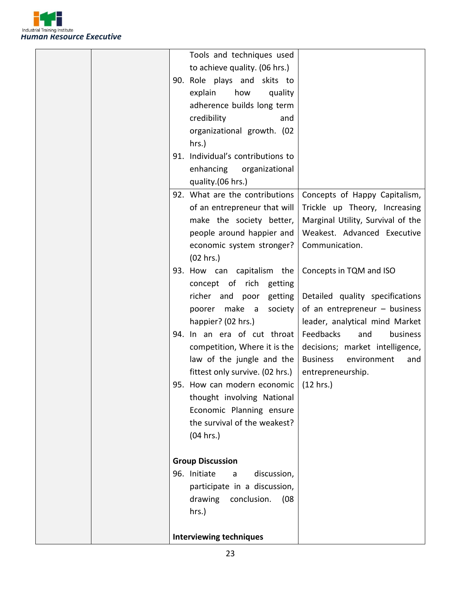

| Tools and techniques used                           |                                                                  |
|-----------------------------------------------------|------------------------------------------------------------------|
| to achieve quality. (06 hrs.)                       |                                                                  |
| 90. Role plays and skits to                         |                                                                  |
| how<br>explain<br>quality                           |                                                                  |
| adherence builds long term                          |                                                                  |
| credibility<br>and                                  |                                                                  |
| organizational growth. (02                          |                                                                  |
| hrs.)                                               |                                                                  |
| 91. Individual's contributions to                   |                                                                  |
| enhancing<br>organizational                         |                                                                  |
|                                                     |                                                                  |
| quality.(06 hrs.)<br>92. What are the contributions |                                                                  |
|                                                     | Concepts of Happy Capitalism,                                    |
| of an entrepreneur that will                        | Trickle up Theory, Increasing                                    |
| make the society better,                            | Marginal Utility, Survival of the<br>Weakest. Advanced Executive |
| people around happier and                           | Communication.                                                   |
| economic system stronger?                           |                                                                  |
| (02 hrs.)                                           |                                                                  |
| 93. How can capitalism the                          | Concepts in TQM and ISO                                          |
| concept of rich getting                             |                                                                  |
| richer and poor<br>getting                          | Detailed quality specifications                                  |
| poorer make a<br>society                            | of an entrepreneur $-$ business                                  |
| happier? (02 hrs.)                                  | leader, analytical mind Market                                   |
| 94. In an era of cut throat                         | Feedbacks<br>business<br>and                                     |
| competition, Where it is the                        | decisions; market intelligence,                                  |
| law of the jungle and the                           | <b>Business</b><br>environment<br>and                            |
| fittest only survive. (02 hrs.)                     | entrepreneurship.                                                |
| 95. How can modern economic                         | (12 hrs.)                                                        |
| thought involving National                          |                                                                  |
| Economic Planning ensure                            |                                                                  |
| the survival of the weakest?                        |                                                                  |
| (04 hrs.)                                           |                                                                  |
|                                                     |                                                                  |
| <b>Group Discussion</b>                             |                                                                  |
| 96. Initiate<br>discussion,<br>a                    |                                                                  |
| participate in a discussion,                        |                                                                  |
| drawing<br>conclusion.<br>(08)                      |                                                                  |
| hrs.)                                               |                                                                  |
| <b>Interviewing techniques</b>                      |                                                                  |
|                                                     |                                                                  |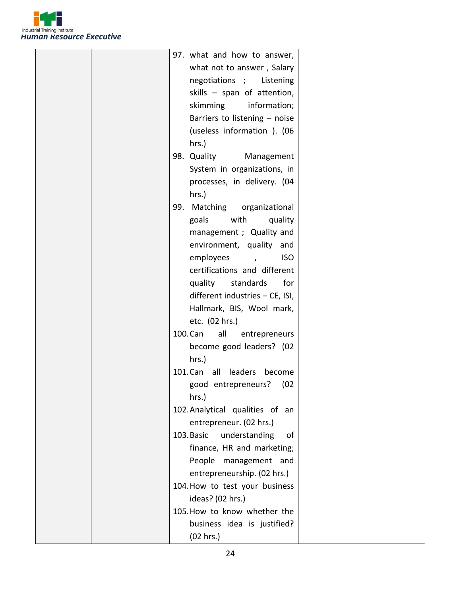

|  | 97. what and how to answer,       |  |
|--|-----------------------------------|--|
|  | what not to answer, Salary        |  |
|  | negotiations ; Listening          |  |
|  | skills - span of attention,       |  |
|  | skimming information;             |  |
|  | Barriers to listening - noise     |  |
|  | (useless information ). (06       |  |
|  | hrs.)                             |  |
|  | 98. Quality<br>Management         |  |
|  | System in organizations, in       |  |
|  | processes, in delivery. (04       |  |
|  | hrs.)                             |  |
|  | 99. Matching organizational       |  |
|  | goals<br>with<br>quality          |  |
|  | management ; Quality and          |  |
|  | environment, quality and          |  |
|  | employees<br><b>ISO</b><br>$\sim$ |  |
|  | certifications and different      |  |
|  | quality<br>standards<br>for       |  |
|  | different industries - CE, ISI,   |  |
|  | Hallmark, BIS, Wool mark,         |  |
|  | etc. (02 hrs.)                    |  |
|  | 100. Can<br>all<br>entrepreneurs  |  |
|  | become good leaders? (02          |  |
|  | hrs.)                             |  |
|  | 101. Can all leaders become       |  |
|  | good entrepreneurs? (02           |  |
|  | hrs.)                             |  |
|  | 102. Analytical qualities of an   |  |
|  | entrepreneur. (02 hrs.)           |  |
|  | 103. Basic<br>understanding<br>of |  |
|  | finance, HR and marketing;        |  |
|  | People management and             |  |
|  | entrepreneurship. (02 hrs.)       |  |
|  | 104. How to test your business    |  |
|  | ideas? (02 hrs.)                  |  |
|  | 105. How to know whether the      |  |
|  | business idea is justified?       |  |
|  | (02 hrs.)                         |  |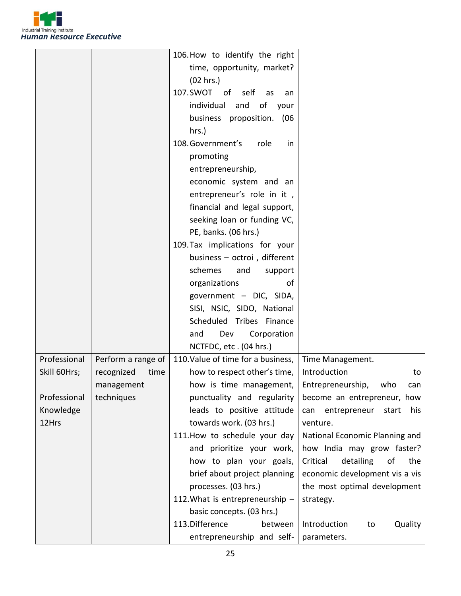

|              |                    | 106. How to identify the right     |                                     |
|--------------|--------------------|------------------------------------|-------------------------------------|
|              |                    | time, opportunity, market?         |                                     |
|              |                    | (02 hrs.)                          |                                     |
|              |                    | 107.SWOT of self as<br>an          |                                     |
|              |                    | individual and<br>of your          |                                     |
|              |                    | business proposition. (06          |                                     |
|              |                    | hrs.)                              |                                     |
|              |                    | 108. Government's<br>role<br>in    |                                     |
|              |                    | promoting                          |                                     |
|              |                    | entrepreneurship,                  |                                     |
|              |                    | economic system and an             |                                     |
|              |                    | entrepreneur's role in it,         |                                     |
|              |                    | financial and legal support,       |                                     |
|              |                    | seeking loan or funding VC,        |                                     |
|              |                    | PE, banks. (06 hrs.)               |                                     |
|              |                    | 109. Tax implications for your     |                                     |
|              |                    | business - octroi, different       |                                     |
|              |                    | schemes<br>and<br>support          |                                     |
|              |                    | organizations<br>οf                |                                     |
|              |                    | government - DIC, SIDA,            |                                     |
|              |                    | SISI, NSIC, SIDO, National         |                                     |
|              |                    | Scheduled Tribes Finance           |                                     |
|              |                    | Corporation<br>and<br>Dev          |                                     |
|              |                    | NCTFDC, etc. (04 hrs.)             |                                     |
| Professional | Perform a range of | 110. Value of time for a business, | Time Management.                    |
| Skill 60Hrs; | recognized<br>time | how to respect other's time,       | Introduction<br>to                  |
|              | management         | how is time management,            | Entrepreneurship, who<br>can        |
| Professional | techniques         | punctuality and regularity         | become an entrepreneur, how         |
| Knowledge    |                    | leads to positive attitude         | entrepreneur<br>his<br>start<br>can |
| 12Hrs        |                    | towards work. (03 hrs.)            | venture.                            |
|              |                    | 111. How to schedule your day      | National Economic Planning and      |
|              |                    | and prioritize your work,          | how India may grow faster?          |
|              |                    | how to plan your goals,            | detailing<br>Critical<br>of<br>the  |
|              |                    | brief about project planning       | economic development vis a vis      |
|              |                    | processes. (03 hrs.)               | the most optimal development        |
|              |                    | 112. What is entrepreneurship -    | strategy.                           |
|              |                    | basic concepts. (03 hrs.)          |                                     |
|              |                    | 113. Difference<br>between         | Introduction<br>Quality<br>to       |
|              |                    | entrepreneurship and self-         | parameters.                         |
|              |                    |                                    |                                     |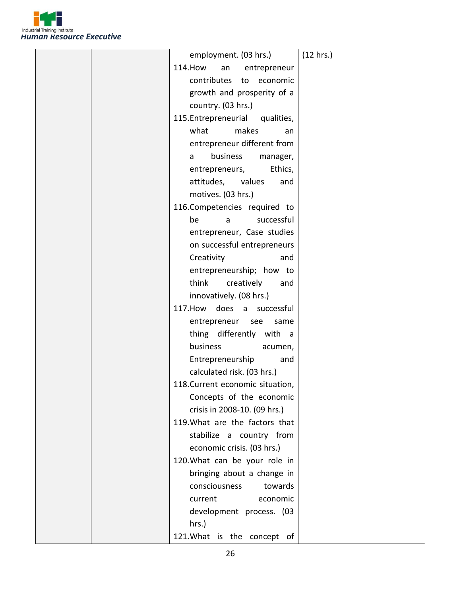

|  | employment. (03 hrs.)                 | (12 hrs.) |
|--|---------------------------------------|-----------|
|  | <b>114. How</b><br>an<br>entrepreneur |           |
|  | contributes<br>to economic            |           |
|  | growth and prosperity of a            |           |
|  | country. (03 hrs.)                    |           |
|  | 115. Entrepreneurial<br>qualities,    |           |
|  | makes<br>what<br>an                   |           |
|  | entrepreneur different from           |           |
|  | business<br>manager,<br>a             |           |
|  | Ethics,<br>entrepreneurs,             |           |
|  | attitudes, values<br>and              |           |
|  | motives. (03 hrs.)                    |           |
|  | 116.Competencies required to          |           |
|  | successful<br>be<br>a                 |           |
|  | entrepreneur, Case studies            |           |
|  | on successful entrepreneurs           |           |
|  | Creativity<br>and                     |           |
|  | entrepreneurship; how to              |           |
|  | think<br>creatively<br>and            |           |
|  | innovatively. (08 hrs.)               |           |
|  | 117. How does a successful            |           |
|  | entrepreneur see<br>same              |           |
|  | thing differently with a              |           |
|  | business<br>acumen,                   |           |
|  | Entrepreneurship<br>and               |           |
|  | calculated risk. (03 hrs.)            |           |
|  | 118. Current economic situation,      |           |
|  | Concepts of the economic              |           |
|  | crisis in 2008-10. (09 hrs.)          |           |
|  | 119. What are the factors that        |           |
|  | stabilize a country from              |           |
|  | economic crisis. (03 hrs.)            |           |
|  | 120. What can be your role in         |           |
|  | bringing about a change in            |           |
|  | consciousness<br>towards              |           |
|  | current<br>economic                   |           |
|  | development process. (03              |           |
|  | hrs.)                                 |           |
|  | 121. What is the concept of           |           |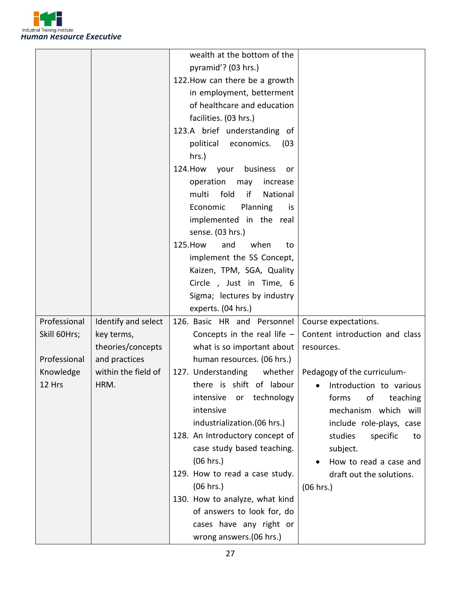

|              |                     | wealth at the bottom of the        |                                |
|--------------|---------------------|------------------------------------|--------------------------------|
|              |                     | pyramid'? (03 hrs.)                |                                |
|              |                     | 122. How can there be a growth     |                                |
|              |                     | in employment, betterment          |                                |
|              |                     | of healthcare and education        |                                |
|              |                     | facilities. (03 hrs.)              |                                |
|              |                     | 123.A brief understanding of       |                                |
|              |                     | political economics.<br>(03)       |                                |
|              |                     | hrs.)                              |                                |
|              |                     | 124. How<br>business<br>your<br>or |                                |
|              |                     | operation<br>may<br>increase       |                                |
|              |                     | fold<br>if<br>National<br>multi    |                                |
|              |                     | Planning<br>Economic<br>is         |                                |
|              |                     | implemented in the real            |                                |
|              |                     | sense. (03 hrs.)                   |                                |
|              |                     | 125. How<br>when<br>and<br>to      |                                |
|              |                     | implement the 5S Concept,          |                                |
|              |                     | Kaizen, TPM, SGA, Quality          |                                |
|              |                     | Circle, Just in Time, 6            |                                |
|              |                     | Sigma; lectures by industry        |                                |
|              |                     | experts. (04 hrs.)                 |                                |
| Professional | Identify and select | 126. Basic HR and Personnel        | Course expectations.           |
| Skill 60Hrs; | key terms,          | Concepts in the real life $-$      | Content introduction and class |
|              | theories/concepts   | what is so important about         | resources.                     |
| Professional | and practices       | human resources. (06 hrs.)         |                                |
| Knowledge    | within the field of | 127. Understanding<br>whether      | Pedagogy of the curriculum-    |
| 12 Hrs       | HRM.                | there is shift of labour           | · Introduction to various      |
|              |                     | intensive<br>technology<br>or      | forms<br>of<br>teaching        |
|              |                     | intensive                          | mechanism which will           |
|              |                     | industrialization.(06 hrs.)        | include role-plays, case       |
|              |                     | 128. An Introductory concept of    | studies<br>specific<br>to      |
|              |                     | case study based teaching.         | subject.                       |
|              |                     | (06 hrs.)                          | How to read a case and         |
|              |                     | 129. How to read a case study.     | draft out the solutions.       |
|              |                     | (06 hrs.)                          | (06 hrs.)                      |
|              |                     | 130. How to analyze, what kind     |                                |
|              |                     | of answers to look for, do         |                                |
|              |                     | cases have any right or            |                                |
|              |                     | wrong answers.(06 hrs.)            |                                |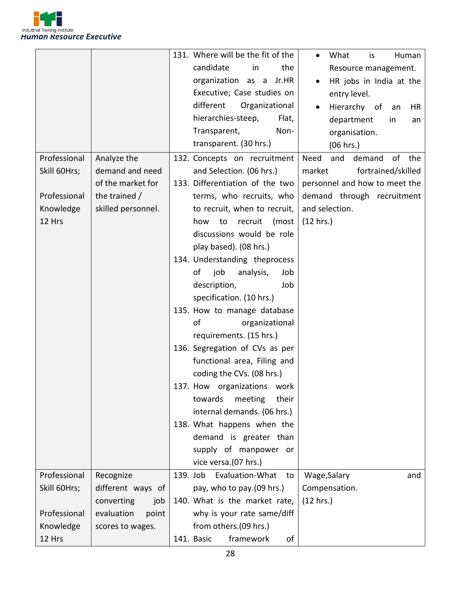

|              |                     | 131. Where will be the fit of the<br>What<br>Human<br>is<br>$\bullet$ |
|--------------|---------------------|-----------------------------------------------------------------------|
|              |                     | candidate<br>the<br>in<br>Resource management.                        |
|              |                     | organization as a Jr.HR<br>HR jobs in India at the                    |
|              |                     | Executive; Case studies on<br>entry level.                            |
|              |                     | different<br>Organizational<br>Hierarchy of<br>HR<br>an               |
|              |                     | hierarchies-steep,<br>Flat,<br>department<br>in<br>an                 |
|              |                     | Transparent,<br>Non-<br>organisation.                                 |
|              |                     | transparent. (30 hrs.)<br>(06 hrs.)                                   |
| Professional | Analyze the         | Need<br>of<br>the<br>132. Concepts on recruitment<br>and<br>demand    |
| Skill 60Hrs; | demand and need     | and Selection. (06 hrs.)<br>fortrained/skilled<br>market              |
|              | of the market for   | 133. Differentiation of the two<br>personnel and how to meet the      |
| Professional | the trained /       | terms, who recruits, who<br>demand through recruitment                |
| Knowledge    | skilled personnel.  | and selection.<br>to recruit, when to recruit,                        |
| 12 Hrs       |                     | (12 hrs.)<br>recruit<br>(most<br>how<br>to                            |
|              |                     | discussions would be role                                             |
|              |                     | play based). (08 hrs.)                                                |
|              |                     | 134. Understanding theprocess                                         |
|              |                     | of<br>job<br>analysis,<br>Job                                         |
|              |                     | description,<br>Job                                                   |
|              |                     | specification. (10 hrs.)                                              |
|              |                     | 135. How to manage database                                           |
|              |                     | of<br>organizational                                                  |
|              |                     | requirements. (15 hrs.)                                               |
|              |                     | 136. Segregation of CVs as per                                        |
|              |                     | functional area, Filing and                                           |
|              |                     | coding the CVs. (08 hrs.)                                             |
|              |                     | 137. How organizations work                                           |
|              |                     | their<br>towards<br>meeting                                           |
|              |                     | internal demands. (06 hrs.)                                           |
|              |                     | 138. What happens when the                                            |
|              |                     | demand is greater than                                                |
|              |                     | supply of manpower or                                                 |
|              |                     | vice versa.(07 hrs.)                                                  |
| Professional | Recognize           | 139. Job<br>Evaluation-What<br>Wage, Salary<br>to<br>and              |
| Skill 60Hrs; | different ways of   | pay, who to pay.(09 hrs.)<br>Compensation.                            |
|              | converting<br>job   | 140. What is the market rate,<br>(12 hrs.)                            |
| Professional | evaluation<br>point | why is your rate same/diff                                            |
| Knowledge    | scores to wages.    | from others.(09 hrs.)                                                 |
| 12 Hrs       |                     | framework<br>141. Basic<br>οf                                         |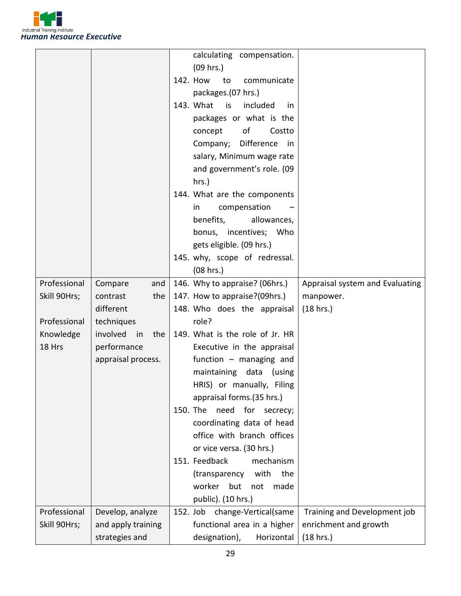

| (09 hrs.)<br>142. How<br>to<br>communicate<br>packages.(07 hrs.)<br>143. What is<br>included<br>in.<br>packages or what is the<br>of<br>Costto<br>concept<br>Difference<br>Company;<br>in<br>salary, Minimum wage rate<br>and government's role. (09<br>$hrs.$ )<br>144. What are the components<br>compensation<br>in.<br>benefits,<br>allowances,<br>bonus, incentives; Who<br>gets eligible. (09 hrs.)<br>145. why, scope of redressal.<br>(08 hrs.)<br>Professional<br>146. Why to appraise? (06hrs.)<br>Appraisal system and Evaluating<br>Compare<br>and<br>the<br>147. How to appraise?(09hrs.)<br>Skill 90Hrs;<br>contrast<br>manpower.<br>different<br>148. Who does the appraisal<br>(18 hrs.)<br>Professional<br>role?<br>techniques<br>involved<br>149. What is the role of Jr. HR<br>Knowledge<br>in<br>the<br>18 Hrs<br>performance<br>Executive in the appraisal<br>function $-$ managing and<br>appraisal process.<br>maintaining data<br>(using<br>HRIS) or manually, Filing<br>appraisal forms.(35 hrs.)<br>150. The<br>need for<br>secrecy;<br>coordinating data of head<br>office with branch offices<br>or vice versa. (30 hrs.)<br>151. Feedback<br>mechanism<br>with<br>the<br>(transparency<br>worker<br>but<br>made<br>not<br>public). (10 hrs.)<br>Professional<br>Develop, analyze<br>152. Job change-Vertical(same<br>Training and Development job<br>Skill 90Hrs;<br>functional area in a higher<br>enrichment and growth<br>and apply training |  | calculating compensation. |
|------------------------------------------------------------------------------------------------------------------------------------------------------------------------------------------------------------------------------------------------------------------------------------------------------------------------------------------------------------------------------------------------------------------------------------------------------------------------------------------------------------------------------------------------------------------------------------------------------------------------------------------------------------------------------------------------------------------------------------------------------------------------------------------------------------------------------------------------------------------------------------------------------------------------------------------------------------------------------------------------------------------------------------------------------------------------------------------------------------------------------------------------------------------------------------------------------------------------------------------------------------------------------------------------------------------------------------------------------------------------------------------------------------------------------------------------------------------------------|--|---------------------------|
|                                                                                                                                                                                                                                                                                                                                                                                                                                                                                                                                                                                                                                                                                                                                                                                                                                                                                                                                                                                                                                                                                                                                                                                                                                                                                                                                                                                                                                                                              |  |                           |
|                                                                                                                                                                                                                                                                                                                                                                                                                                                                                                                                                                                                                                                                                                                                                                                                                                                                                                                                                                                                                                                                                                                                                                                                                                                                                                                                                                                                                                                                              |  |                           |
|                                                                                                                                                                                                                                                                                                                                                                                                                                                                                                                                                                                                                                                                                                                                                                                                                                                                                                                                                                                                                                                                                                                                                                                                                                                                                                                                                                                                                                                                              |  |                           |
|                                                                                                                                                                                                                                                                                                                                                                                                                                                                                                                                                                                                                                                                                                                                                                                                                                                                                                                                                                                                                                                                                                                                                                                                                                                                                                                                                                                                                                                                              |  |                           |
|                                                                                                                                                                                                                                                                                                                                                                                                                                                                                                                                                                                                                                                                                                                                                                                                                                                                                                                                                                                                                                                                                                                                                                                                                                                                                                                                                                                                                                                                              |  |                           |
|                                                                                                                                                                                                                                                                                                                                                                                                                                                                                                                                                                                                                                                                                                                                                                                                                                                                                                                                                                                                                                                                                                                                                                                                                                                                                                                                                                                                                                                                              |  |                           |
|                                                                                                                                                                                                                                                                                                                                                                                                                                                                                                                                                                                                                                                                                                                                                                                                                                                                                                                                                                                                                                                                                                                                                                                                                                                                                                                                                                                                                                                                              |  |                           |
|                                                                                                                                                                                                                                                                                                                                                                                                                                                                                                                                                                                                                                                                                                                                                                                                                                                                                                                                                                                                                                                                                                                                                                                                                                                                                                                                                                                                                                                                              |  |                           |
|                                                                                                                                                                                                                                                                                                                                                                                                                                                                                                                                                                                                                                                                                                                                                                                                                                                                                                                                                                                                                                                                                                                                                                                                                                                                                                                                                                                                                                                                              |  |                           |
|                                                                                                                                                                                                                                                                                                                                                                                                                                                                                                                                                                                                                                                                                                                                                                                                                                                                                                                                                                                                                                                                                                                                                                                                                                                                                                                                                                                                                                                                              |  |                           |
|                                                                                                                                                                                                                                                                                                                                                                                                                                                                                                                                                                                                                                                                                                                                                                                                                                                                                                                                                                                                                                                                                                                                                                                                                                                                                                                                                                                                                                                                              |  |                           |
|                                                                                                                                                                                                                                                                                                                                                                                                                                                                                                                                                                                                                                                                                                                                                                                                                                                                                                                                                                                                                                                                                                                                                                                                                                                                                                                                                                                                                                                                              |  |                           |
|                                                                                                                                                                                                                                                                                                                                                                                                                                                                                                                                                                                                                                                                                                                                                                                                                                                                                                                                                                                                                                                                                                                                                                                                                                                                                                                                                                                                                                                                              |  |                           |
|                                                                                                                                                                                                                                                                                                                                                                                                                                                                                                                                                                                                                                                                                                                                                                                                                                                                                                                                                                                                                                                                                                                                                                                                                                                                                                                                                                                                                                                                              |  |                           |
|                                                                                                                                                                                                                                                                                                                                                                                                                                                                                                                                                                                                                                                                                                                                                                                                                                                                                                                                                                                                                                                                                                                                                                                                                                                                                                                                                                                                                                                                              |  |                           |
|                                                                                                                                                                                                                                                                                                                                                                                                                                                                                                                                                                                                                                                                                                                                                                                                                                                                                                                                                                                                                                                                                                                                                                                                                                                                                                                                                                                                                                                                              |  |                           |
|                                                                                                                                                                                                                                                                                                                                                                                                                                                                                                                                                                                                                                                                                                                                                                                                                                                                                                                                                                                                                                                                                                                                                                                                                                                                                                                                                                                                                                                                              |  |                           |
|                                                                                                                                                                                                                                                                                                                                                                                                                                                                                                                                                                                                                                                                                                                                                                                                                                                                                                                                                                                                                                                                                                                                                                                                                                                                                                                                                                                                                                                                              |  |                           |
|                                                                                                                                                                                                                                                                                                                                                                                                                                                                                                                                                                                                                                                                                                                                                                                                                                                                                                                                                                                                                                                                                                                                                                                                                                                                                                                                                                                                                                                                              |  |                           |
|                                                                                                                                                                                                                                                                                                                                                                                                                                                                                                                                                                                                                                                                                                                                                                                                                                                                                                                                                                                                                                                                                                                                                                                                                                                                                                                                                                                                                                                                              |  |                           |
|                                                                                                                                                                                                                                                                                                                                                                                                                                                                                                                                                                                                                                                                                                                                                                                                                                                                                                                                                                                                                                                                                                                                                                                                                                                                                                                                                                                                                                                                              |  |                           |
|                                                                                                                                                                                                                                                                                                                                                                                                                                                                                                                                                                                                                                                                                                                                                                                                                                                                                                                                                                                                                                                                                                                                                                                                                                                                                                                                                                                                                                                                              |  |                           |
|                                                                                                                                                                                                                                                                                                                                                                                                                                                                                                                                                                                                                                                                                                                                                                                                                                                                                                                                                                                                                                                                                                                                                                                                                                                                                                                                                                                                                                                                              |  |                           |
|                                                                                                                                                                                                                                                                                                                                                                                                                                                                                                                                                                                                                                                                                                                                                                                                                                                                                                                                                                                                                                                                                                                                                                                                                                                                                                                                                                                                                                                                              |  |                           |
|                                                                                                                                                                                                                                                                                                                                                                                                                                                                                                                                                                                                                                                                                                                                                                                                                                                                                                                                                                                                                                                                                                                                                                                                                                                                                                                                                                                                                                                                              |  |                           |
|                                                                                                                                                                                                                                                                                                                                                                                                                                                                                                                                                                                                                                                                                                                                                                                                                                                                                                                                                                                                                                                                                                                                                                                                                                                                                                                                                                                                                                                                              |  |                           |
|                                                                                                                                                                                                                                                                                                                                                                                                                                                                                                                                                                                                                                                                                                                                                                                                                                                                                                                                                                                                                                                                                                                                                                                                                                                                                                                                                                                                                                                                              |  |                           |
|                                                                                                                                                                                                                                                                                                                                                                                                                                                                                                                                                                                                                                                                                                                                                                                                                                                                                                                                                                                                                                                                                                                                                                                                                                                                                                                                                                                                                                                                              |  |                           |
|                                                                                                                                                                                                                                                                                                                                                                                                                                                                                                                                                                                                                                                                                                                                                                                                                                                                                                                                                                                                                                                                                                                                                                                                                                                                                                                                                                                                                                                                              |  |                           |
|                                                                                                                                                                                                                                                                                                                                                                                                                                                                                                                                                                                                                                                                                                                                                                                                                                                                                                                                                                                                                                                                                                                                                                                                                                                                                                                                                                                                                                                                              |  |                           |
|                                                                                                                                                                                                                                                                                                                                                                                                                                                                                                                                                                                                                                                                                                                                                                                                                                                                                                                                                                                                                                                                                                                                                                                                                                                                                                                                                                                                                                                                              |  |                           |
|                                                                                                                                                                                                                                                                                                                                                                                                                                                                                                                                                                                                                                                                                                                                                                                                                                                                                                                                                                                                                                                                                                                                                                                                                                                                                                                                                                                                                                                                              |  |                           |
|                                                                                                                                                                                                                                                                                                                                                                                                                                                                                                                                                                                                                                                                                                                                                                                                                                                                                                                                                                                                                                                                                                                                                                                                                                                                                                                                                                                                                                                                              |  |                           |
|                                                                                                                                                                                                                                                                                                                                                                                                                                                                                                                                                                                                                                                                                                                                                                                                                                                                                                                                                                                                                                                                                                                                                                                                                                                                                                                                                                                                                                                                              |  |                           |
|                                                                                                                                                                                                                                                                                                                                                                                                                                                                                                                                                                                                                                                                                                                                                                                                                                                                                                                                                                                                                                                                                                                                                                                                                                                                                                                                                                                                                                                                              |  |                           |
|                                                                                                                                                                                                                                                                                                                                                                                                                                                                                                                                                                                                                                                                                                                                                                                                                                                                                                                                                                                                                                                                                                                                                                                                                                                                                                                                                                                                                                                                              |  |                           |
|                                                                                                                                                                                                                                                                                                                                                                                                                                                                                                                                                                                                                                                                                                                                                                                                                                                                                                                                                                                                                                                                                                                                                                                                                                                                                                                                                                                                                                                                              |  |                           |
| designation),<br>strategies and<br>Horizontal<br>(18 hrs.)                                                                                                                                                                                                                                                                                                                                                                                                                                                                                                                                                                                                                                                                                                                                                                                                                                                                                                                                                                                                                                                                                                                                                                                                                                                                                                                                                                                                                   |  |                           |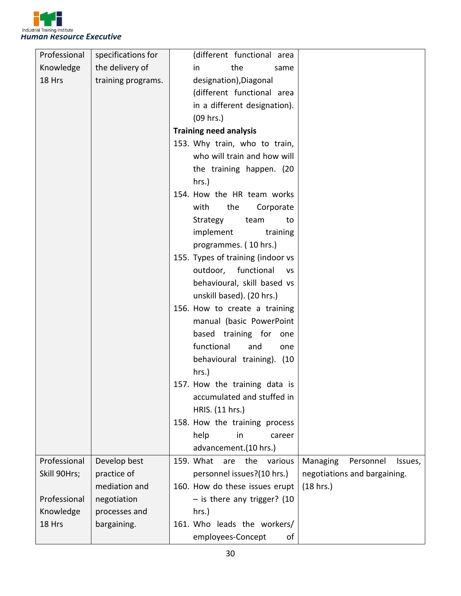

| Professional | specifications for | (different functional area                                             |
|--------------|--------------------|------------------------------------------------------------------------|
| Knowledge    | the delivery of    | the<br>in<br>same                                                      |
| 18 Hrs       | training programs. | designation), Diagonal                                                 |
|              |                    | (different functional area                                             |
|              |                    | in a different designation).                                           |
|              |                    | (09 hrs.)                                                              |
|              |                    | <b>Training need analysis</b>                                          |
|              |                    | 153. Why train, who to train,                                          |
|              |                    | who will train and how will                                            |
|              |                    | the training happen. (20                                               |
|              |                    | hrs.)                                                                  |
|              |                    | 154. How the HR team works                                             |
|              |                    | with<br>the<br>Corporate                                               |
|              |                    | Strategy<br>team<br>to                                                 |
|              |                    | implement<br>training                                                  |
|              |                    | programmes. (10 hrs.)                                                  |
|              |                    | 155. Types of training (indoor vs                                      |
|              |                    | outdoor, functional<br><b>VS</b>                                       |
|              |                    | behavioural, skill based vs                                            |
|              |                    | unskill based). (20 hrs.)                                              |
|              |                    | 156. How to create a training                                          |
|              |                    | manual (basic PowerPoint                                               |
|              |                    | based training for<br>one                                              |
|              |                    | functional<br>and<br>one                                               |
|              |                    | behavioural training). (10                                             |
|              |                    | hrs.)                                                                  |
|              |                    | 157. How the training data is                                          |
|              |                    | accumulated and stuffed in                                             |
|              |                    | HRIS. (11 hrs.)                                                        |
|              |                    | 158. How the training process                                          |
|              |                    | help<br>in<br>career                                                   |
|              |                    | advancement.(10 hrs.)                                                  |
| Professional | Develop best       | 159. What<br>are<br>the<br>various<br>Managing<br>Personnel<br>Issues, |
| Skill 90Hrs; | practice of        | personnel issues?(10 hrs.)<br>negotiations and bargaining.             |
|              | mediation and      | 160. How do these issues erupt<br>(18 hrs.)                            |
| Professional | negotiation        | - is there any trigger? (10                                            |
| Knowledge    | processes and      | hrs.)                                                                  |
| 18 Hrs       | bargaining.        | 161. Who leads the workers/                                            |
|              |                    | employees-Concept<br>0f                                                |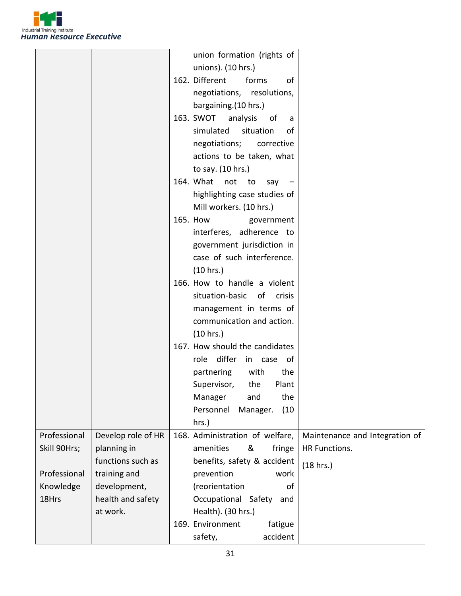

|              |                    | union formation (rights of                                        |
|--------------|--------------------|-------------------------------------------------------------------|
|              |                    | unions). (10 hrs.)                                                |
|              |                    | 162. Different<br>forms<br>of                                     |
|              |                    | negotiations, resolutions,                                        |
|              |                    | bargaining.(10 hrs.)                                              |
|              |                    | 163. SWOT<br>analysis<br>of<br>a                                  |
|              |                    | simulated<br>situation<br>οf                                      |
|              |                    | negotiations; corrective                                          |
|              |                    | actions to be taken, what                                         |
|              |                    | to say. (10 hrs.)                                                 |
|              |                    | 164. What not to<br>say                                           |
|              |                    | highlighting case studies of                                      |
|              |                    | Mill workers. (10 hrs.)                                           |
|              |                    | 165. How<br>government                                            |
|              |                    | interferes, adherence to                                          |
|              |                    | government jurisdiction in                                        |
|              |                    | case of such interference.                                        |
|              |                    | (10 hrs.)                                                         |
|              |                    | 166. How to handle a violent                                      |
|              |                    | situation-basic of crisis                                         |
|              |                    | management in terms of                                            |
|              |                    | communication and action.                                         |
|              |                    | (10 hrs.)                                                         |
|              |                    | 167. How should the candidates                                    |
|              |                    | role differ in case of                                            |
|              |                    | partnering<br>with<br>the                                         |
|              |                    | Supervisor,<br>the<br>Plant                                       |
|              |                    | the<br>Manager<br>and                                             |
|              |                    | (10)<br>Personnel<br>Manager.                                     |
|              |                    | hrs.)                                                             |
| Professional | Develop role of HR | Maintenance and Integration of<br>168. Administration of welfare, |
| Skill 90Hrs; | planning in        | amenities<br>&<br>fringe<br>HR Functions.                         |
|              | functions such as  | benefits, safety & accident                                       |
| Professional | training and       | (18 hrs.)<br>prevention<br>work                                   |
| Knowledge    | development,       | (reorientation<br>of                                              |
| 18Hrs        | health and safety  | Occupational Safety<br>and                                        |
|              | at work.           | Health). (30 hrs.)                                                |
|              |                    | 169. Environment<br>fatigue                                       |
|              |                    | accident<br>safety,                                               |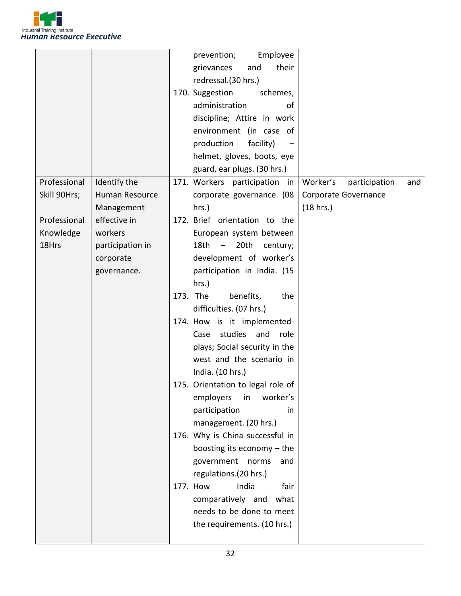

|              |                  |          | prevention;<br>Employee           |                                  |
|--------------|------------------|----------|-----------------------------------|----------------------------------|
|              |                  |          | their<br>grievances<br>and        |                                  |
|              |                  |          | redressal.(30 hrs.)               |                                  |
|              |                  |          | 170. Suggestion<br>schemes,       |                                  |
|              |                  |          | administration<br>of              |                                  |
|              |                  |          | discipline; Attire in work        |                                  |
|              |                  |          | environment (in case of           |                                  |
|              |                  |          | production<br>facility)           |                                  |
|              |                  |          | helmet, gloves, boots, eye        |                                  |
|              |                  |          | guard, ear plugs. (30 hrs.)       |                                  |
| Professional | Identify the     |          | 171. Workers participation in     | Worker's<br>participation<br>and |
| Skill 90Hrs; | Human Resource   |          | corporate governance. (08         | Corporate Governance             |
|              | Management       |          | hrs.)                             | (18 hrs.)                        |
| Professional | effective in     |          | 172. Brief orientation to the     |                                  |
| Knowledge    | workers          |          | European system between           |                                  |
| 18Hrs        | participation in |          | 18th –<br>20th<br>century;        |                                  |
|              | corporate        |          | development of worker's           |                                  |
|              | governance.      |          | participation in India. (15       |                                  |
|              |                  |          | $hrs.$ )                          |                                  |
|              |                  | 173. The | benefits,<br>the                  |                                  |
|              |                  |          | difficulties. (07 hrs.)           |                                  |
|              |                  |          | 174. How is it implemented-       |                                  |
|              |                  |          | studies<br>and<br>role<br>Case    |                                  |
|              |                  |          | plays; Social security in the     |                                  |
|              |                  |          | west and the scenario in          |                                  |
|              |                  |          | India. (10 hrs.)                  |                                  |
|              |                  |          | 175. Orientation to legal role of |                                  |
|              |                  |          | employers<br>worker's<br>in       |                                  |
|              |                  |          | participation<br>in               |                                  |
|              |                  |          | management. (20 hrs.)             |                                  |
|              |                  |          | 176. Why is China successful in   |                                  |
|              |                  |          | boosting its economy $-$ the      |                                  |
|              |                  |          | government<br>norms<br>and        |                                  |
|              |                  |          | regulations.(20 hrs.)             |                                  |
|              |                  |          | India<br>177. How<br>fair         |                                  |
|              |                  |          | comparatively and<br>what         |                                  |
|              |                  |          | needs to be done to meet          |                                  |
|              |                  |          | the requirements. (10 hrs.)       |                                  |
|              |                  |          |                                   |                                  |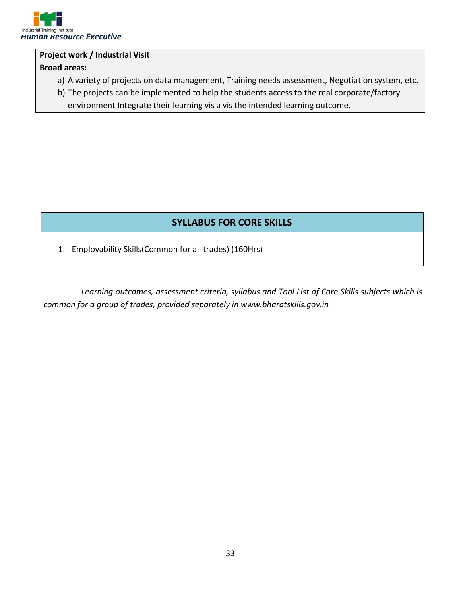

#### **Project work / Industrial Visit**

#### **Broad areas:**

- a) A variety of projects on data management, Training needs assessment, Negotiation system, etc.
- b) The projects can be implemented to help the students access to the real corporate/factory environment Integrate their learning vis a vis the intended learning outcome.

#### **SYLLABUS FOR CORE SKILLS**

1. Employability Skills(Common for all trades) (160Hrs)

*Learning outcomes, assessment criteria, syllabus and Tool List of Core Skills subjects which is common for a group of trades, provided separately in www.bharatskills.gov.in*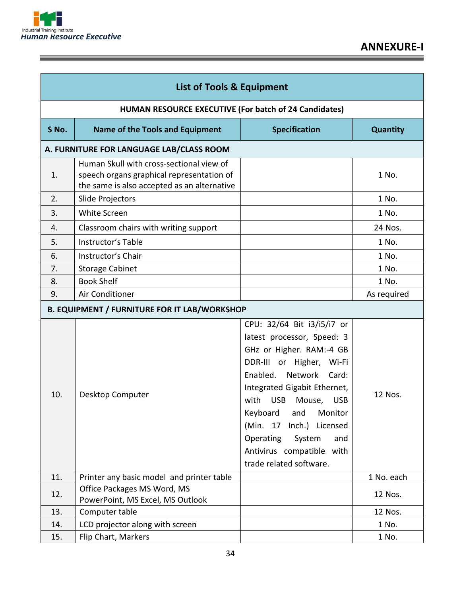

Ē

| <b>List of Tools &amp; Equipment</b> |                                                                                                                                      |                                                                                                                                                                                                                                                                                                                                                                                            |                 |  |  |
|--------------------------------------|--------------------------------------------------------------------------------------------------------------------------------------|--------------------------------------------------------------------------------------------------------------------------------------------------------------------------------------------------------------------------------------------------------------------------------------------------------------------------------------------------------------------------------------------|-----------------|--|--|
|                                      | HUMAN RESOURCE EXECUTIVE (For batch of 24 Candidates)                                                                                |                                                                                                                                                                                                                                                                                                                                                                                            |                 |  |  |
| S No.                                | <b>Name of the Tools and Equipment</b>                                                                                               | <b>Specification</b>                                                                                                                                                                                                                                                                                                                                                                       | <b>Quantity</b> |  |  |
|                                      | A. FURNITURE FOR LANGUAGE LAB/CLASS ROOM                                                                                             |                                                                                                                                                                                                                                                                                                                                                                                            |                 |  |  |
| 1.                                   | Human Skull with cross-sectional view of<br>speech organs graphical representation of<br>the same is also accepted as an alternative |                                                                                                                                                                                                                                                                                                                                                                                            | 1 No.           |  |  |
| 2.                                   | Slide Projectors                                                                                                                     |                                                                                                                                                                                                                                                                                                                                                                                            | 1 No.           |  |  |
| 3.                                   | White Screen                                                                                                                         |                                                                                                                                                                                                                                                                                                                                                                                            | 1 No.           |  |  |
| 4.                                   | Classroom chairs with writing support                                                                                                |                                                                                                                                                                                                                                                                                                                                                                                            | 24 Nos.         |  |  |
| 5.                                   | Instructor's Table                                                                                                                   |                                                                                                                                                                                                                                                                                                                                                                                            | 1 No.           |  |  |
| 6.                                   | Instructor's Chair                                                                                                                   |                                                                                                                                                                                                                                                                                                                                                                                            | 1 No.           |  |  |
| 7.                                   | <b>Storage Cabinet</b>                                                                                                               |                                                                                                                                                                                                                                                                                                                                                                                            | 1 No.           |  |  |
| 8.                                   | <b>Book Shelf</b>                                                                                                                    |                                                                                                                                                                                                                                                                                                                                                                                            | 1 No.           |  |  |
| 9.                                   | Air Conditioner                                                                                                                      |                                                                                                                                                                                                                                                                                                                                                                                            | As required     |  |  |
|                                      | <b>B. EQUIPMENT / FURNITURE FOR IT LAB/WORKSHOP</b>                                                                                  |                                                                                                                                                                                                                                                                                                                                                                                            |                 |  |  |
| 10.                                  | Desktop Computer                                                                                                                     | CPU: 32/64 Bit i3/i5/i7 or<br>latest processor, Speed: 3<br>GHz or Higher. RAM:-4 GB<br>DDR-III or Higher,<br>Wi-Fi<br>Network<br>Enabled.<br>Card:<br>Integrated Gigabit Ethernet,<br>with<br><b>USB</b><br>Mouse,<br><b>USB</b><br>Keyboard<br>and<br>Monitor<br>(Min. 17<br>$lnch.$ )<br>Licensed<br>Operating<br>System<br>and<br>Antivirus compatible with<br>trade related software. | 12 Nos.         |  |  |
| 11.                                  | Printer any basic model and printer table                                                                                            |                                                                                                                                                                                                                                                                                                                                                                                            | 1 No. each      |  |  |
| 12.                                  | Office Packages MS Word, MS<br>PowerPoint, MS Excel, MS Outlook                                                                      |                                                                                                                                                                                                                                                                                                                                                                                            | 12 Nos.         |  |  |
| 13.                                  | Computer table                                                                                                                       |                                                                                                                                                                                                                                                                                                                                                                                            | 12 Nos.         |  |  |
| 14.                                  | LCD projector along with screen                                                                                                      |                                                                                                                                                                                                                                                                                                                                                                                            | 1 No.           |  |  |
| 15.                                  | Flip Chart, Markers                                                                                                                  |                                                                                                                                                                                                                                                                                                                                                                                            | 1 No.           |  |  |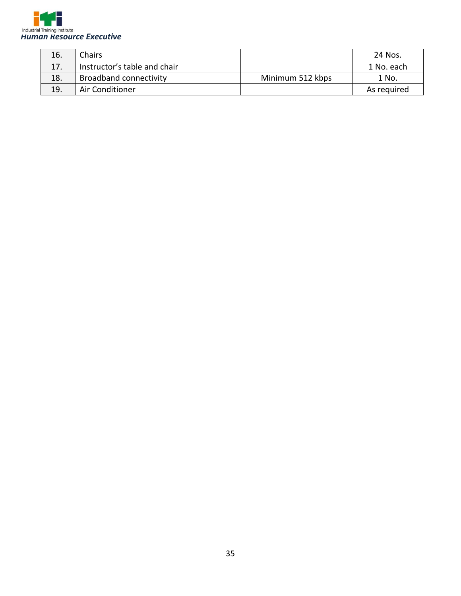

| 16. | Chairs                        |                  | 24 Nos.     |
|-----|-------------------------------|------------------|-------------|
| 17. | Instructor's table and chair  |                  | 1 No. each  |
| 18. | <b>Broadband connectivity</b> | Minimum 512 kbps | 1 No.       |
| 19. | Air Conditioner               |                  | As required |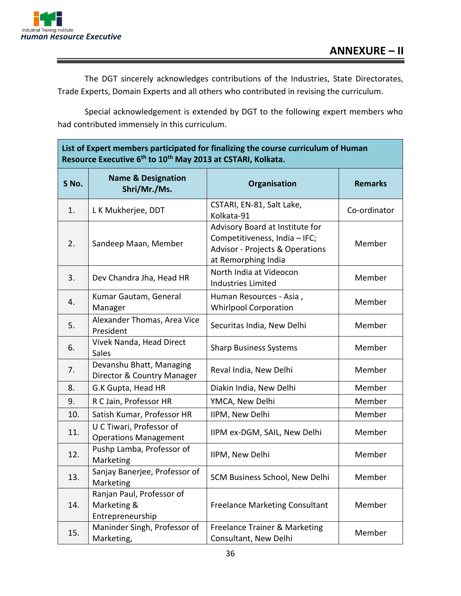

The DGT sincerely acknowledges contributions of the Industries, State Directorates, Trade Experts, Domain Experts and all others who contributed in revising the curriculum.

Special acknowledgement is extended by DGT to the following expert members who had contributed immensely in this curriculum.

#### **List of Expert members participated for finalizing the course curriculum of Human Resource Executive 6 th to 10th May 2013 at CSTARI, Kolkata.**

| S No. | <b>Name &amp; Designation</b><br>Shri/Mr./Ms.                | Organisation                                                                                                                          | <b>Remarks</b> |
|-------|--------------------------------------------------------------|---------------------------------------------------------------------------------------------------------------------------------------|----------------|
| 1.    | L K Mukherjee, DDT                                           | CSTARI, EN-81, Salt Lake,<br>Kolkata-91                                                                                               | Co-ordinator   |
| 2.    | Sandeep Maan, Member                                         | Advisory Board at Institute for<br>Competitiveness, India - IFC;<br><b>Advisor - Projects &amp; Operations</b><br>at Remorphing India | Member         |
| 3.    | Dev Chandra Jha, Head HR                                     | North India at Videocon<br><b>Industries Limited</b>                                                                                  | Member         |
| 4.    | Kumar Gautam, General<br>Manager                             | Human Resources - Asia,<br><b>Whirlpool Corporation</b>                                                                               | Member         |
| 5.    | Alexander Thomas, Area Vice<br>President                     | Securitas India, New Delhi                                                                                                            | Member         |
| 6.    | Vivek Nanda, Head Direct<br>Sales                            | <b>Sharp Business Systems</b>                                                                                                         | Member         |
| 7.    | Devanshu Bhatt, Managing<br>Director & Country Manager       | Reval India, New Delhi                                                                                                                | Member         |
| 8.    | G.K Gupta, Head HR                                           | Diakin India, New Delhi                                                                                                               | Member         |
| 9.    | R C Jain, Professor HR                                       | YMCA, New Delhi                                                                                                                       | Member         |
| 10.   | Satish Kumar, Professor HR                                   | IIPM, New Delhi                                                                                                                       | Member         |
| 11.   | U C Tiwari, Professor of<br><b>Operations Management</b>     | IIPM ex-DGM, SAIL, New Delhi                                                                                                          | Member         |
| 12.   | Pushp Lamba, Professor of<br>Marketing                       | IIPM, New Delhi                                                                                                                       | Member         |
| 13.   | Sanjay Banerjee, Professor of<br>Marketing                   | SCM Business School, New Delhi                                                                                                        | Member         |
| 14.   | Ranjan Paul, Professor of<br>Marketing &<br>Entrepreneurship | <b>Freelance Marketing Consultant</b>                                                                                                 | Member         |
| 15.   | Maninder Singh, Professor of<br>Marketing,                   | Freelance Trainer & Marketing<br>Consultant, New Delhi                                                                                | Member         |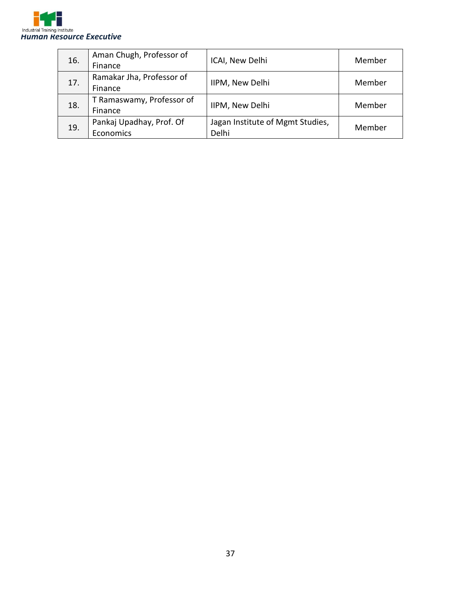

| 16. | Aman Chugh, Professor of<br>Finance | ICAI, New Delhi                  | Member |  |
|-----|-------------------------------------|----------------------------------|--------|--|
| 17. | Ramakar Jha, Professor of           | IIPM, New Delhi                  | Member |  |
|     | Finance                             |                                  |        |  |
| 18. | T Ramaswamy, Professor of           | IIPM, New Delhi                  | Member |  |
|     | Finance                             |                                  |        |  |
| 19. | Pankaj Upadhay, Prof. Of            | Jagan Institute of Mgmt Studies, | Member |  |
|     | Economics                           | Delhi                            |        |  |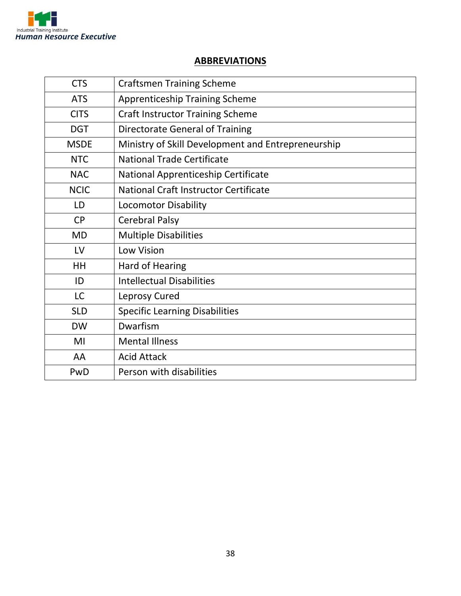

#### **ABBREVIATIONS**

| <b>CTS</b>  | <b>Craftsmen Training Scheme</b>                   |
|-------------|----------------------------------------------------|
| <b>ATS</b>  | <b>Apprenticeship Training Scheme</b>              |
| <b>CITS</b> | <b>Craft Instructor Training Scheme</b>            |
| <b>DGT</b>  | <b>Directorate General of Training</b>             |
| <b>MSDE</b> | Ministry of Skill Development and Entrepreneurship |
| <b>NTC</b>  | <b>National Trade Certificate</b>                  |
| <b>NAC</b>  | National Apprenticeship Certificate                |
| <b>NCIC</b> | National Craft Instructor Certificate              |
| LD          | <b>Locomotor Disability</b>                        |
| <b>CP</b>   | <b>Cerebral Palsy</b>                              |
| <b>MD</b>   | <b>Multiple Disabilities</b>                       |
| LV          | <b>Low Vision</b>                                  |
| <b>HH</b>   | Hard of Hearing                                    |
| ID          | <b>Intellectual Disabilities</b>                   |
| <b>LC</b>   | Leprosy Cured                                      |
| <b>SLD</b>  | <b>Specific Learning Disabilities</b>              |
| <b>DW</b>   | Dwarfism                                           |
| MI          | <b>Mental Illness</b>                              |
| AA          | <b>Acid Attack</b>                                 |
| PwD         | Person with disabilities                           |